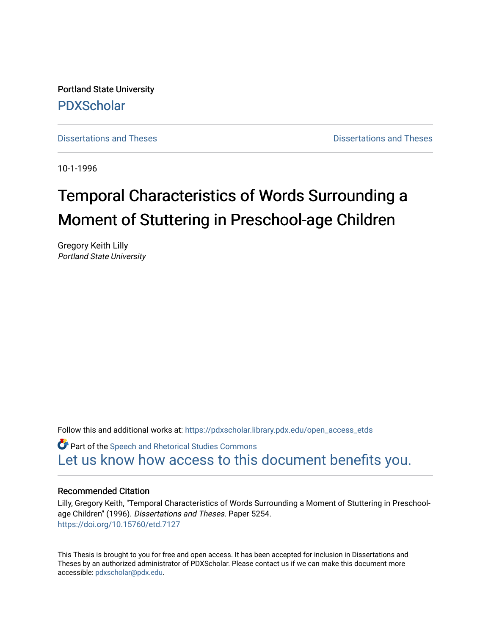Portland State University [PDXScholar](https://pdxscholar.library.pdx.edu/)

[Dissertations and Theses](https://pdxscholar.library.pdx.edu/open_access_etds) **Dissertations** and Theses **Dissertations and Theses** 

10-1-1996

# Temporal Characteristics of Words Surrounding a Moment of Stuttering in Preschool-age Children

Gregory Keith Lilly Portland State University

Follow this and additional works at: [https://pdxscholar.library.pdx.edu/open\\_access\\_etds](https://pdxscholar.library.pdx.edu/open_access_etds?utm_source=pdxscholar.library.pdx.edu%2Fopen_access_etds%2F5254&utm_medium=PDF&utm_campaign=PDFCoverPages)

**C** Part of the Speech and Rhetorical Studies Commons [Let us know how access to this document benefits you.](http://library.pdx.edu/services/pdxscholar-services/pdxscholar-feedback/) 

#### Recommended Citation

Lilly, Gregory Keith, "Temporal Characteristics of Words Surrounding a Moment of Stuttering in Preschoolage Children" (1996). Dissertations and Theses. Paper 5254. <https://doi.org/10.15760/etd.7127>

This Thesis is brought to you for free and open access. It has been accepted for inclusion in Dissertations and Theses by an authorized administrator of PDXScholar. Please contact us if we can make this document more accessible: [pdxscholar@pdx.edu.](mailto:pdxscholar@pdx.edu)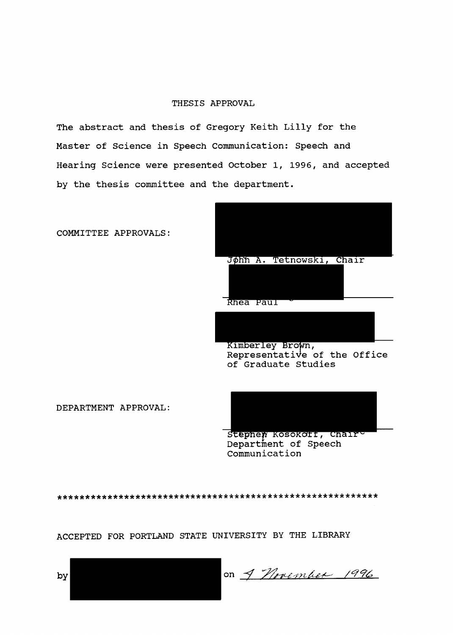#### THESIS APPROVAL

The abstract and thesis of Gregory Keith Lilly for the Master of Science in Speech Communication: Speech and Hearing Science were presented October 1, 1996, and accepted by the thesis committee and the department.

> Jøhn A. Tetnowski, Chair Rhea Paul Kimberley Brown, Representative of the Office of Graduate Studies

DEPARTMENT APPROVAL:

COMMITTEE APPROVALS:

Stephen Kosokoff, Chair Department of Speech Communication

\*\*\*\*\*\*\*\*\*\*\*\*\*\*\*\*\*\*\*\*\*\*\*\*\*\*\*\*\*\*\*\*\*\*\*\*\*\*\*\*\*\*\*\*\*\*\*\*\*\*\*\*\*\*\*\*\*\*

ACCEPTED FOR PORTLAND STATE UNIVERSITY BY THE LIBRARY

by on 4 *November* 1996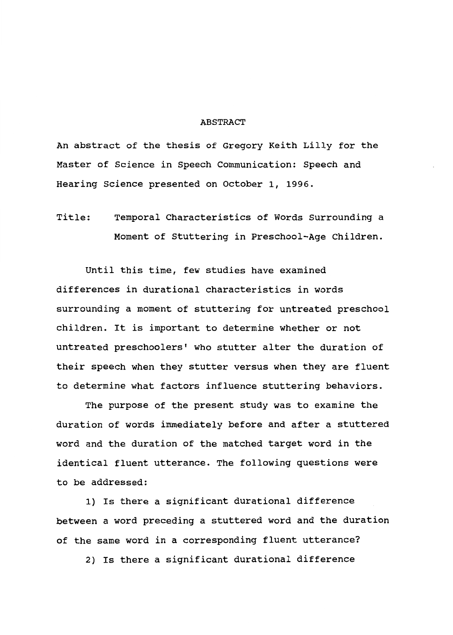#### ABSTRACT

An abstract of the thesis of Gregory Keith Lilly for the Master of Science in Speech Communication: Speech and Hearing Science presented on October 1, 1996.

Title: Temporal Characteristics of Words surrounding a Moment of stuttering in Preschool-Age Children.

Until this time, few studies have examined differences in durational characteristics in words surrounding a moment of stuttering for untreated preschool children. It is important to determine whether or not untreated preschoolers' who stutter alter the duration of their speech when they stutter versus when they are fluent to determine what factors influence stuttering behaviors.

The purpose of the present study was to examine the duration of words immediately before and after a stuttered word and the duration of the matched target word in the identical fluent utterance. The following questions were to be addressed:

1) Is there a significant durational difference between a word preceding a stuttered word and the duration of the same word in a corresponding fluent utterance?

2) Is there a significant durational difference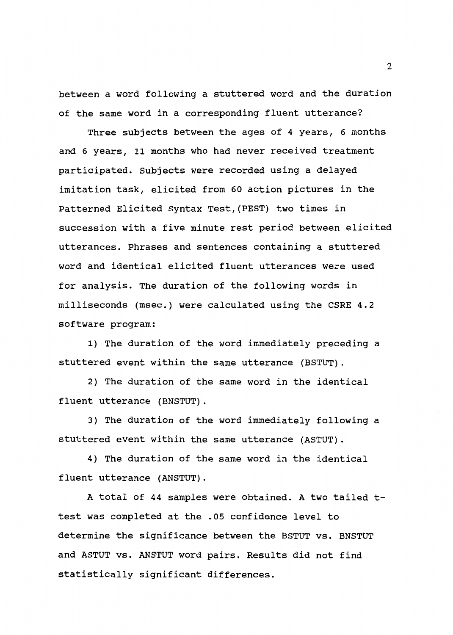between a word following a stuttered word and the duration of the same word in a corresponding fluent utterance?

Three subjects between the ages of 4 years, 6 months and 6 years, 11 months who had never received treatment participated. Subjects were recorded using a delayed imitation task, elicited from 60 action pictures in the Patterned Elicited Syntax Test, (PEST} two times in succession with a five minute rest period between elicited utterances. Phrases and sentences containing a stuttered word and identical elicited fluent utterances were used for analysis. The duration of the following words in milliseconds (msec.) were calculated using the CSRE 4.2 software program:

1) The duration of the word immediately preceding a stuttered event within the same utterance (BSTUT}.

2) The duration of the same word in the identical fluent utterance (BNSTUT).

3) The duration of the word immediately following a stuttered event within the same utterance (ASTUT) .

4) The duration of the same word in the identical fluent utterance (ANSTUT) .

A total of 44 samples were obtained. A two tailed ttest was completed at the .05 confidence level to determine the significance between the BSTUT vs. BNSTUT and ASTUT vs. ANSTUT word pairs. Results did not find statistically significant differences.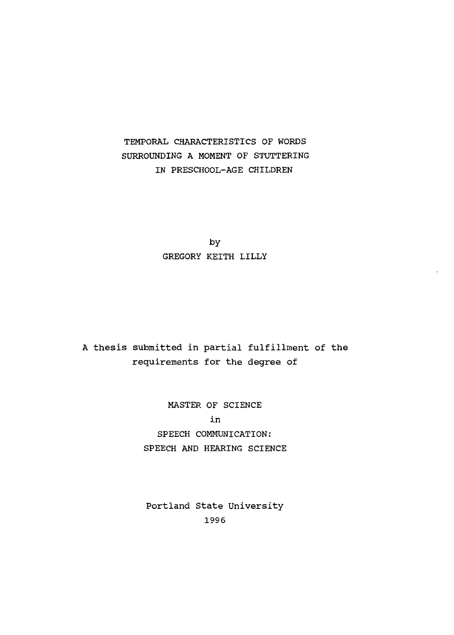# TEMPORAL CHARACTERISTICS OF WORDS SURROUNDING A MOMENT OF STUTTERING IN PRESCHOOL-AGE CHILDREN

by GREGORY KEITH LILLY

A thesis submitted in partial fulfillment of the requirements for the degree of

> MASTER OF SCIENCE in SPEECH COMMUNICATION: SPEECH AND HEARING SCIENCE

Portland State University 1996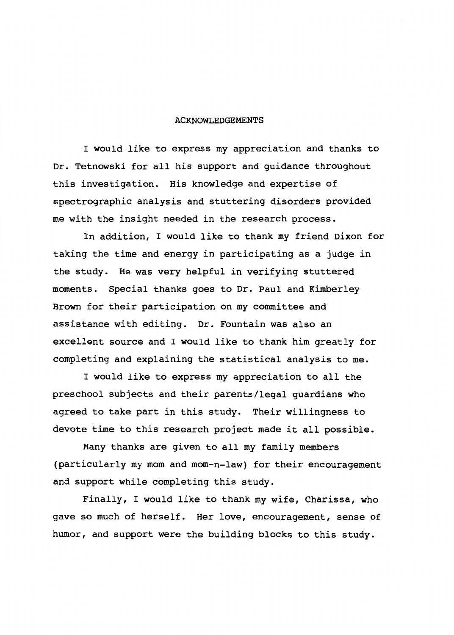#### ACKNOWLEDGEMENTS

I would like to express my appreciation and thanks to Dr. Tetnowski for all his support and guidance throughout this investigation. His knowledge and expertise of spectrographic analysis and stuttering disorders provided me with the insight needed in the research process.

In addition, I would like to thank my friend Dixon for taking the time and energy in participating as a judge in the study. He was very helpful in verifying stuttered moments. Special thanks goes to Dr. Paul and Kimberley Brown for their participation on my committee and assistance with editing. Dr. Fountain was also an excellent source and I would like to thank him greatly for completing and explaining the statistical analysis to me.

I would like to express my appreciation to all the preschool subjects and their parents/legal guardians who agreed to take part in this study. Their willingness to devote time to this research project made it all possible.

Many thanks are given to all my family members (particularly my mom and mom-n-law) for their encouragement and support while completing this study.

Finally, I would like to thank my wife, Charissa, who gave so much of herself. Her love, encouragement, sense of humor, and support were the building blocks to this study.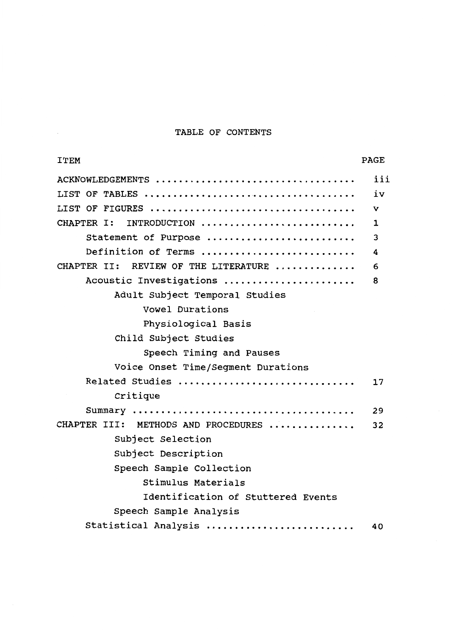## TABLE OF CONTENTS

 $\mathcal{A}^{\text{max}}_{\text{max}}$ 

| <b>ITEM</b>                          | <b>PAGE</b> |
|--------------------------------------|-------------|
| ACKNOWLEDGEMENTS                     | iii         |
|                                      | iv          |
|                                      | v           |
| CHAPTER I:<br>INTRODUCTION           | 1           |
| Statement of Purpose                 | 3           |
| Definition of Terms                  | 4           |
| CHAPTER II: REVIEW OF THE LITERATURE | 6           |
| Acoustic Investigations              | 8           |
| Adult Subject Temporal Studies       |             |
| Vowel Durations                      |             |
| Physiological Basis                  |             |
| Child Subject Studies                |             |
| Speech Timing and Pauses             |             |
| Voice Onset Time/Segment Durations   |             |
| Related Studies                      | 17          |
| Critique                             |             |
|                                      | 29          |
| CHAPTER III: METHODS AND PROCEDURES  | 32          |
| Subject Selection                    |             |
| Subject Description                  |             |
| Speech Sample Collection             |             |
| Stimulus Materials                   |             |
| Identification of Stuttered Events   |             |
| Speech Sample Analysis               |             |
| Statistical Analysis                 | 40          |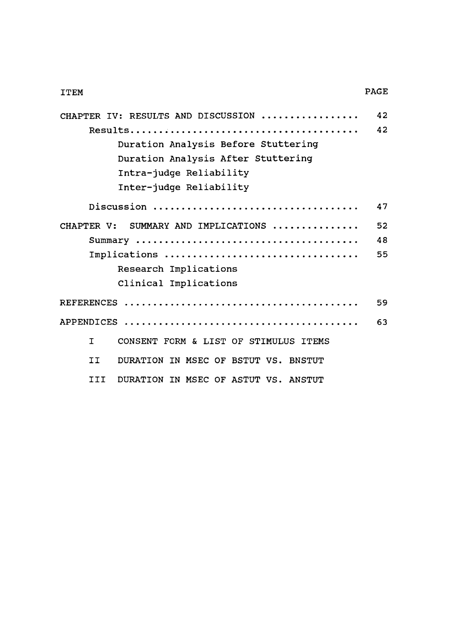| CHAPTER IV: RESULTS AND DISCUSSION                    | 42 |
|-------------------------------------------------------|----|
|                                                       | 42 |
| Duration Analysis Before Stuttering                   |    |
| Duration Analysis After Stuttering                    |    |
| Intra-judge Reliability                               |    |
| Inter-judge Reliability                               |    |
|                                                       | 47 |
| CHAPTER V: SUMMARY AND IMPLICATIONS                   | 52 |
|                                                       | 48 |
| Implications                                          | 55 |
| Research Implications                                 |    |
| Clinical Implications                                 |    |
|                                                       | 59 |
|                                                       | 63 |
| $\mathbf{T}$<br>CONSENT FORM & LIST OF STIMULUS ITEMS |    |
| <b>TT</b><br>DURATION IN MSEC OF BSTUT VS. BNSTUT     |    |
| DURATION IN MSEC OF ASTUT VS. ANSTUT<br>T T T         |    |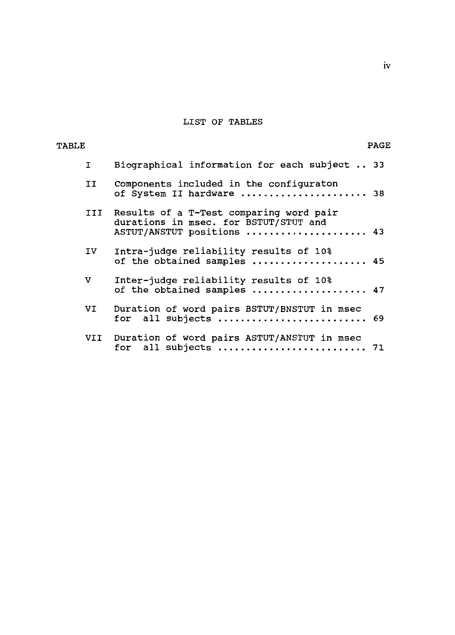## LIST OF TABLES

| <b>TABLE</b> | <b>PAGE</b>                                                                                                        |
|--------------|--------------------------------------------------------------------------------------------------------------------|
| I            | Biographical information for each subject  33                                                                      |
| II           | Components included in the configuraton<br>of System II hardware  38                                               |
|              | III Results of a T-Test comparing word pair<br>durations in msec. for BSTUT/STUT and<br>ASTUT/ANSTUT positions  43 |
| IV.          | Intra-judge reliability results of 10%<br>of the obtained samples  45                                              |
| v            | Inter-judge reliability results of 10%<br>of the obtained samples  47                                              |
| VI           | Duration of word pairs BSTUT/BNSTUT in msec<br>all subjects  69<br>for                                             |
|              | VII Duration of word pairs ASTUT/ANSTUT in msec<br>for all subjects  71                                            |

lV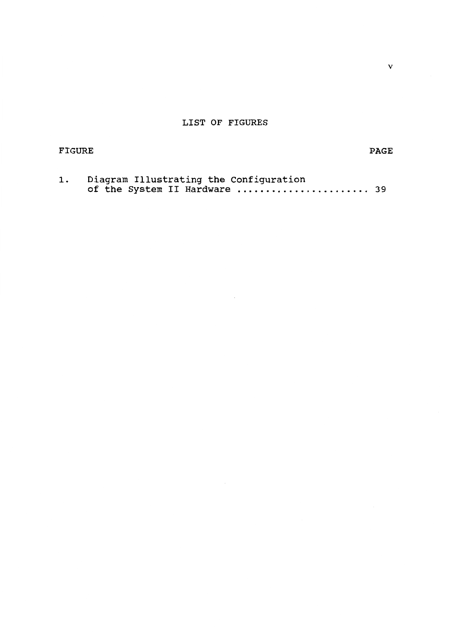### LIST OF FIGURES

| <b>PAGE</b><br><b>FIGURE</b> |                                                                            |  |
|------------------------------|----------------------------------------------------------------------------|--|
|                              | 1. Diagram Illustrating the Configuration<br>of the System II Hardware  39 |  |

 $\sim 10^{-11}$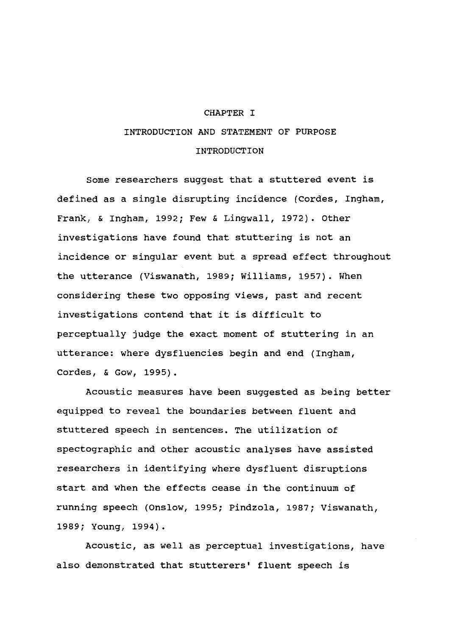#### CHAPTER I

# INTRODUCTION AND STATEMENT OF PURPOSE INTRODUCTION

Some researchers suggest that a stuttered event is defined as a single disrupting incidence (Cordes, Ingham, Frank, & Ingham, 1992; Few & Lingwall, 1972). Other investigations have found that stuttering is not an incidence or singular event but a spread effect throughout the utterance (Viswanath, 1989; Williams, 1957). When considering these two opposing views, past and recent investigations contend that it is difficult to perceptually judge the exact moment of stuttering in an utterance: where dysfluencies begin and end (Ingham, Cordes, & Gow, 1995).

Acoustic measures have been suggested as being better equipped to reveal the boundaries between fluent and stuttered speech in sentences. The utilization of spectographic and other acoustic analyses have assisted researchers in identifying where dysf luent disruptions start and when the effects cease in the continuum of running speech (Onslow, 1995; Pindzola, 1987; Viswanath, 1989; Young, 1994).

Acoustic, as well as perceptual investigations, have also demonstrated that stutterers' fluent speech is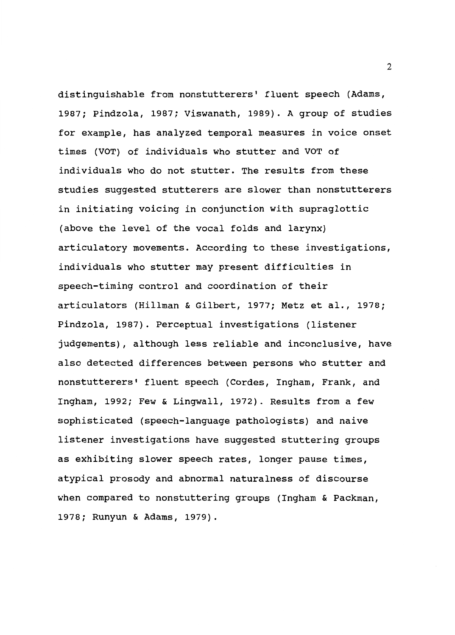distinguishable from nonstutterers' fluent speech (Adams, 1987; Pindzola, 1987; Viswanath, 1989). A group of studies for example, has analyzed temporal measures in voice onset times (VOT) of individuals who stutter and VOT of individuals who do not stutter. The results from these studies suggested stutterers are slower than nonstutterers in initiating voicing in conjunction with supraglottic (above the level of the vocal folds and larynx) articulatory movements. According to these investigations, individuals who stutter may present difficulties in speech-timing control and coordination of their articulators (Hillman & Gilbert, 1977; Metz et al., 1978; Pindzola, 1987). Perceptual investigations (listener judgements), although less reliable and inconclusive, have also detected differences between persons who stutter and nonstutterers' fluent speech (Cordes, Ingham, Frank, and Ingham, 1992; Few & Lingwall, 1972). Results from a few sophisticated (speech-language pathologists) and naive listener investigations have suggested stuttering groups as exhibiting slower speech rates, longer pause times, atypical prosody and abnormal naturalness of discourse when compared to nonstuttering groups (Ingham & Packman, 1978; Runyun & Adams, 1979).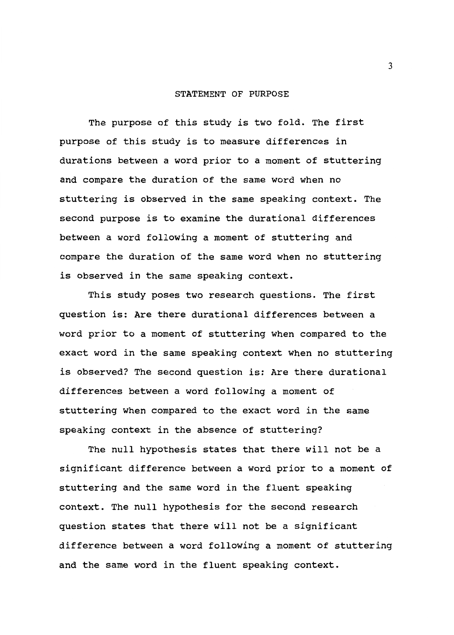#### STATEMENT OF PURPOSE

The purpose of this study is two fold. The first purpose of this study is to measure differences in durations between a word prior to a moment of stuttering and compare the duration of the same word when no stuttering is observed in the same speaking context. The second purpose is to examine the durational differences between a word following a moment of stuttering and compare the duration of the same word when no stuttering is observed in the same speaking context.

This study poses two research questions. The first question is: Are there durational differences between a word prior to a moment of stuttering when compared to the exact word in the same speaking context when no stuttering is observed? The second question is: Are there durational differences between a word following a moment of stuttering when compared to the exact word in the same speaking context in the absence of stuttering?

The null hypothesis states that there will not be a significant difference between a word prior to a moment of stuttering and the same word in the fluent speaking context. The null hypothesis for the second research question states that there will not be a significant difference between a word following a moment of stuttering and the same word in the fluent speaking context.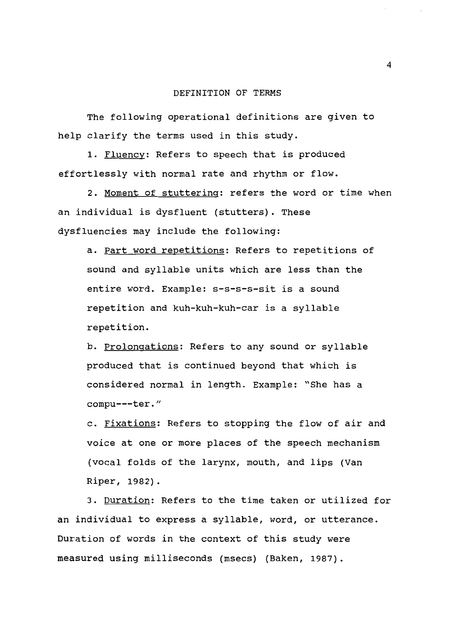#### DEFINITION OF TERMS

The following operational definitions are given to help clarify the terms used in this study.

1. Fluency: Refers to speech that is produced effortlessly with normal rate and rhythm or flow.

2. Moment of stuttering: refers the word or time when an individual is dysfluent (stutters). These dysfluencies may include the following:

a. Part word repetitions: Refers to repetitions of sound and syllable units which are less than the entire word. Example: s-s-s-s-sit is a sound repetition and kuh-kuh-kuh-car is a syllable repetition.

b. Prolongations: Refers to any sound or syllable produced that is continued beyond that which is considered normal in length. Example: "She has a compu---ter."

c. Fixations: Refers to stopping the flow of air and voice at one or more places of the speech mechanism (vocal folds of the larynx, mouth, and lips (Van Riper, 1982).

3. Duration: Refers to the time taken or utilized for an individual to express a syllable, word, or utterance. Duration of words in the context of this study were measured using milliseconds (msecs) (Baken, 1987).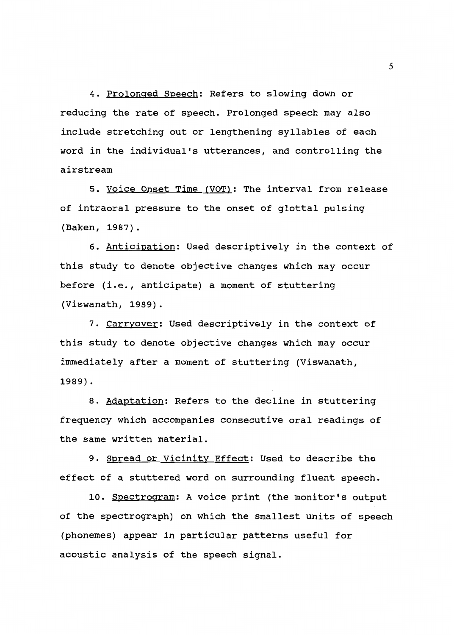4. Prolonged Speech: Refers to slowing down or reducing the rate of speech. Prolonged speech may also include stretching out or lengthening syllables of each word in the individual's utterances, and controlling the airstream

5. Voice Onset Time (VOT): The interval from release of intraoral pressure to the onset of glottal pulsing (Baken, 1987) .

6. Anticipation: Used descriptively in the context of this study to denote objective changes which may occur before (i.e., anticipate) a moment of stuttering (Viswanath, 1989}.

7. Carryover: Used descriptively in the context of this study to denote objective changes which may occur immediately after a moment of stuttering (Viswanath, 1989) .

8. Adaptation: Refers to the decline in stuttering frequency which accompanies consecutive oral readings of the same written material.

9. Spread or Vicinity Effect: Used to describe the effect of a stuttered word on surrounding fluent speech.

10. Spectrogram: A voice print (the monitor's output of the spectrograph) on which the smallest units of speech (phonemes) appear in particular patterns useful for acoustic analysis of the speech signal.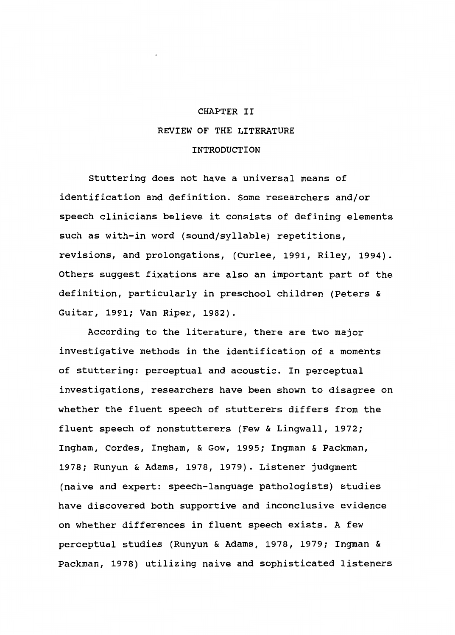# CHAPTER II REVIEW OF THE LITERATURE

#### INTRODUCTION

Stuttering does not have a universal means of identification and definition. Some researchers and/or speech clinicians believe it consists of defining elements such as with-in word (sound/syllable) repetitions, revisions, and prolongations, (Curlee, 1991, Riley, 1994). Others suggest fixations are also an important part of the definition, particularly in preschool children (Peters & Guitar, 1991; Van Riper, 1982).

According to the literature, there are two major investigative methods in the identification of a moments of stuttering: perceptual and acoustic. In perceptual investigations, researchers have been shown to disagree on whether the fluent speech of stutterers differs from the fluent speech of nonstutterers (Few & Lingwall, 1972; Ingham, Cordes, Ingham, & Gow, 1995; Ingman & Packman, 1978; Runyun & Adams, 1978, 1979). Listener judgment (naive and expert: speech-language pathologists) studies have discovered both supportive and inconclusive evidence on whether differences in fluent speech exists. A few perceptual studies (Runyun & Adams, 1978, 1979; Ingman & Packman, 1978) utilizing naive and sophisticated listeners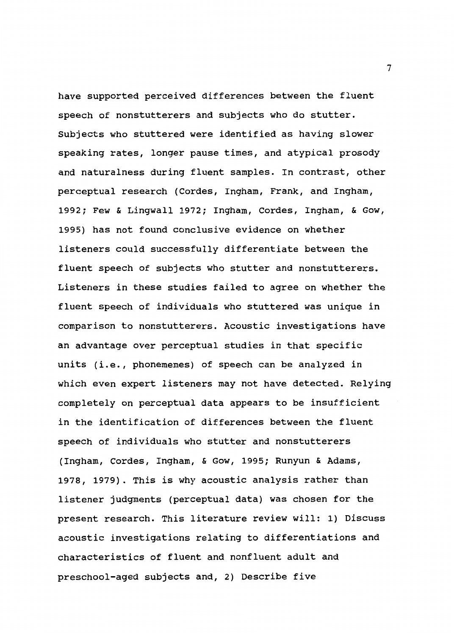have supported perceived differences between the fluent speech of nonstutterers and subjects who do stutter. Subjects who stuttered were identified as having slower speaking rates, longer pause times, and atypical prosody and naturalness during fluent samples. In contrast, other perceptual research (Cordes, Ingham, Frank, and Ingham, 1992; Few & Lingwall 1972; Ingham, Cordes, Ingham, & Gow, 1995) has not found conclusive evidence on whether listeners could successfully differentiate between the fluent speech of subjects who stutter and nonstutterers. Listeners in these studies failed to agree on whether the fluent speech of individuals who stuttered was unique in comparison to nonstutterers. Acoustic investigations have an advantage over perceptual studies in that specific units (i.e., phonememes) of speech can be analyzed in which even expert listeners may not have detected. Relying completely on perceptual data appears to be insufficient in the identification of differences between the fluent speech of individuals who stutter and nonstutterers (Ingham, Cordes, Ingham, & Gow, 1995; Runyun & Adams, 1978, 1979). This is why acoustic analysis rather than listener judgments (perceptual data) was chosen for the present research. This literature review will: l} Discuss acoustic investigations relating to differentiations and characteristics of fluent and nonfluent adult and preschool-aged subjects and, 2) Describe five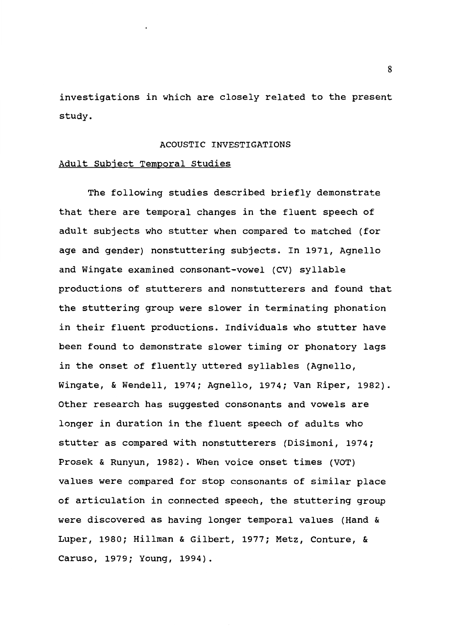investigations in which are closely related to the present study.

#### ACOUSTIC INVESTIGATIONS

#### Adult Subject Temporal Studies

The following studies described briefly demonstrate that there are temporal changes in the fluent speech of adult subjects who stutter when compared to matched (for age and gender) nonstuttering subjects. In 1971, Agnello and Wingate examined consonant-vowel (CV) syllable productions of stutterers and nonstutterers and found that the stuttering group were slower in terminating phonation in their fluent productions. Individuals who stutter have been found to demonstrate slower timing or phonatory lags in the onset of fluently uttered syllables (Agnello, Wingate, & Wendell, 1974; Agnello, 1974; Van Riper, 1982). Other research has suggested consonants and vowels are longer in duration in the fluent speech of adults who stutter as compared with nonstutterers (DiSimoni, 1974; Prosek & Runyun, 1982). When voice onset times (VOT) values were compared for stop consonants of similar place of articulation in connected speech, the stuttering group were discovered as having longer temporal values (Hand & Luper, 1980; Hillman & Gilbert, 1977; Metz, Conture, & Caruso, 1979; Young, 1994).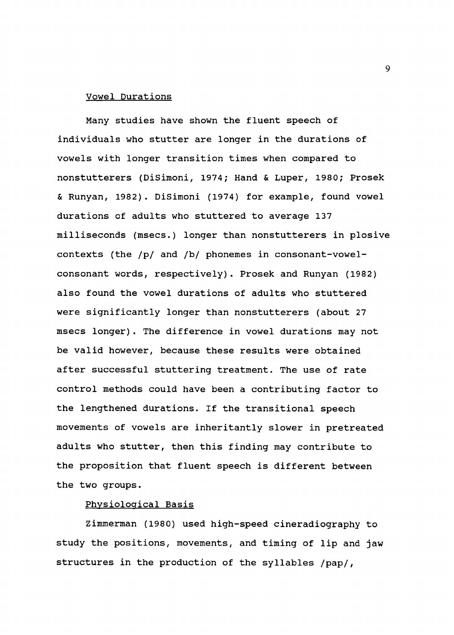#### Vowel Durations

Many studies have shown the fluent speech of individuals who stutter are longer in the durations of vowels with longer transition times when compared to nonstutterers (DiSimoni, 1974; Hand & Luper, 1980; Prosek & Runyan, 1982). DiSimoni (1974) for example, found vowel durations of adults who stuttered to average 137 milliseconds (msecs.) longer than nonstutterers in plosive contexts (the /p/ and /b/ phonemes in consonant-vowelconsonant words, respectively). Prosek and Runyan (1982) also found the vowel durations of adults who stuttered were significantly longer than nonstutterers (about 27 msecs longer) . The difference in vowel durations may not be valid however, because these results were obtained after successful stuttering treatment. The use of rate control methods could have been a contributing factor to the lengthened durations. If the transitional speech movements of vowels are inheritantly slower in pretreated adults who stutter, then this finding may contribute to the proposition that fluent speech is different between the two groups.

#### Physiological Basis

Zimmerman (1980) used high-speed cineradiography to study the positions, movements, and timing of lip and jaw structures in the production of the syllables /pap/,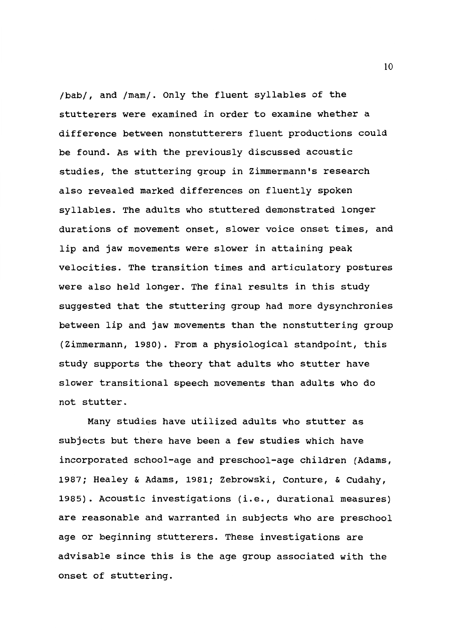/bab/, and /mam/. Only the fluent syllables of the stutterers were examined in order to examine whether a difference between nonstutterers fluent productions could be found. As with the previously discussed acoustic studies, the stuttering group in Zimmermann's research also revealed marked differences on fluently spoken syllables. The adults who stuttered demonstrated longer durations of movement onset, slower voice onset times, and lip and jaw movements were slower in attaining peak velocities. The transition times and articulatory postures were also held longer. The final results in this study suggested that the stuttering group had more dysynchronies between lip and jaw movements than the nonstuttering group (Zimmermann, 1980). From a physiological standpoint, this study supports the theory that adults who stutter have slower transitional speech movements than adults who do not stutter.

Many studies have utilized adults who stutter as subjects but there have been a few studies which have incorporated school-age and preschool-age children (Adams, 1987; Healey & Adams, 1981; Zebrowski, Conture, & Cudahy, 1985). Acoustic investigations (i.e., durational measures) are reasonable and warranted in subjects who are preschool age or beginning stutterers. These investigations are advisable since this is the age group associated with the onset of stuttering.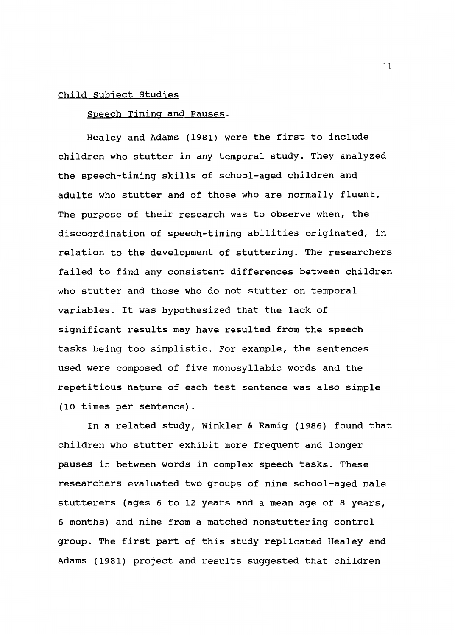#### Child Subject studies

Speech Timing and Pauses.

Healey and Adams (1981) were the first to include children who stutter in any temporal study. They analyzed the speech-timing skills of school-aged children and adults who stutter and of those who are normally fluent. The purpose of their research was to observe when, the discoordination of speech-timing abilities originated, in relation to the development of stuttering. The researchers failed to find any consistent differences between children who stutter and those who do not stutter on temporal variables. It was hypothesized that the lack of significant results may have resulted from the speech tasks being too simplistic. For example, the sentences used were composed of five monosyllabic words and the repetitious nature of each test sentence was also simple (10 times per sentence).

In a related study, Winkler & Ramig (1986) found that children who stutter exhibit more frequent and longer pauses in between words in complex speech tasks. These researchers evaluated two groups of nine school-aged male stutterers (ages 6 to 12 years and a mean age of 8 years, 6 months) and nine from a matched nonstuttering control group. The first part of this study replicated Healey and Adams (1981) project and results suggested that children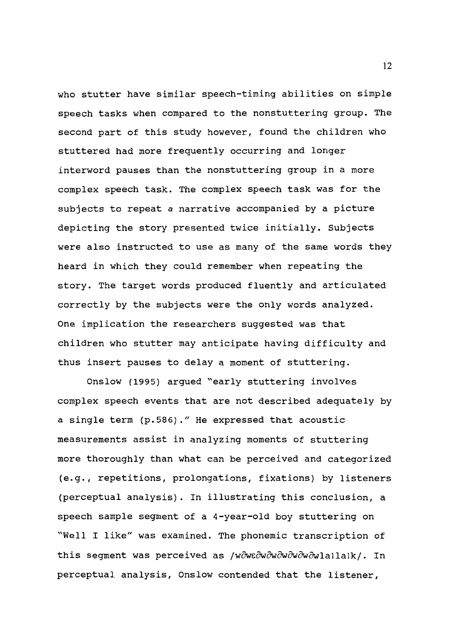who stutter have similar speech-timing abilities on simple speech tasks when compared to the nonstuttering group. The second part of this study however, found the children who stuttered had more frequently occurring and longer interword pauses than the nonstuttering group in a more complex speech task. The complex speech task was for the subjects to repeat a narrative accompanied by a picture depicting the story presented twice initially. Subjects were also instructed to use as many of the same words they heard in which they could remember when repeating the story. The target words produced fluently and articulated correctly by the subjects were the only words analyzed. One implication the researchers suggested was that children who stutter may anticipate having difficulty and thus insert pauses to delay a moment of stuttering.

Onslow (1995) argued "early stuttering involves complex speech events that are not described adequately by a single term (p.586)." He expressed that acoustic measurements assist in analyzing moments of stuttering more thoroughly than what can be perceived and categorized (e.g., repetitions, prolongations, fixations) by listeners (perceptual analysis). In illustrating this conclusion, a speech sample segment of a 4-year-old boy stuttering on "Well I like" was examined. The phonemic transcription of this segment was perceived as /w $\partial$ we $\partial$ w $\partial$ w $\partial$ w $\partial$ w $\partial$ wlallalk/. In perceptual analysis, Onslow contended that the listener,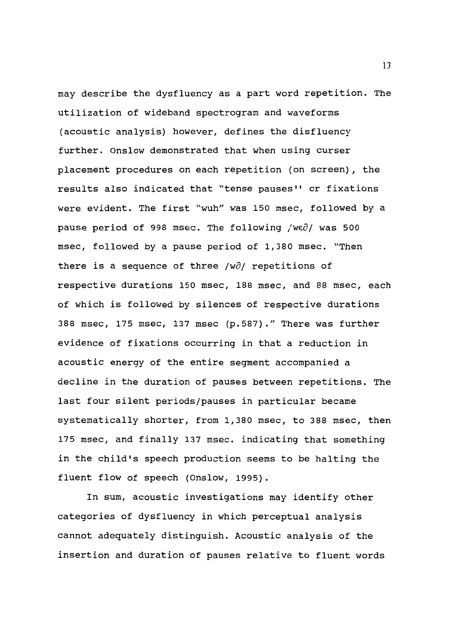may describe the dysf luency as a part word repetition. The utilization of wideband spectrogram and waveforms (acoustic analysis) however, defines the disfluency further. Onslow demonstrated that when using curser placement procedures on each repetition (on screen), the results also indicated that "tense pauses'' or fixations were evident. The first "wuh" was 150 msec, followed by a pause period of 998 msec. The following /we $\partial$ / was 500 msec, followed by a pause period of 1,380 msec. "Then there is a sequence of three /w $\partial$ / repetitions of respective durations 150 msec, 188 msec, and 88 msec, each of which is followed by silences of respective durations 388 msec, 175 msec, 137 msec (p.587)." There was further evidence of fixations occurring in that a reduction in acoustic energy of the entire segment accompanied a decline in the duration of pauses between repetitions. The last four silent periods/pauses in particular became systematically shorter, from 1,380 msec, to 388 msec, then 175 msec, and finally 137 msec. indicating that something in the child's speech production seems to be halting the fluent flow of speech (Onslow, 1995).

In sum, acoustic investigations may identify other categories of dysf luency in which perceptual analysis cannot adequately distinguish. Acoustic analysis of the insertion and duration of pauses relative to fluent words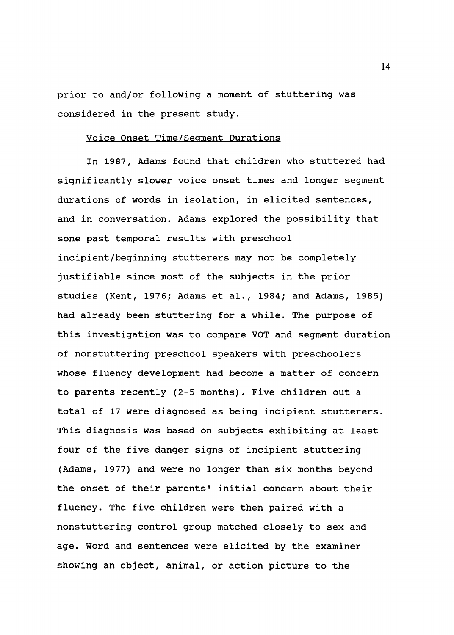prior to and/or following a moment of stuttering was considered in the present study.

#### Voice Onset Time/Segment Durations

In 1987, Adams found that children who stuttered had significantly slower voice onset times and longer segment durations of words in isolation, in elicited sentences, and in conversation. Adams explored the possibility that some past temporal results with preschool incipient/beginning stutterers may not be completely justifiable since most of the subjects in the prior studies (Kent, 1976; Adams et al., 1984; and Adams, 1985) had already been stuttering for a while. The purpose of this investigation was to compare VOT and segment duration of nonstuttering preschool speakers with preschoolers whose fluency development had become a matter of concern to parents recently (2-5 months). Five children out a total of 17 were diagnosed as being incipient stutterers. This diagnosis was based on subjects exhibiting at least four of the five danger signs of incipient stuttering (Adams, 1977) and were no longer than six months beyond the onset of their parents' initial concern about their fluency. The five children were then paired with a nonstuttering control group matched closely to sex and age. Word and sentences were elicited by the examiner showing an object, animal, or action picture to the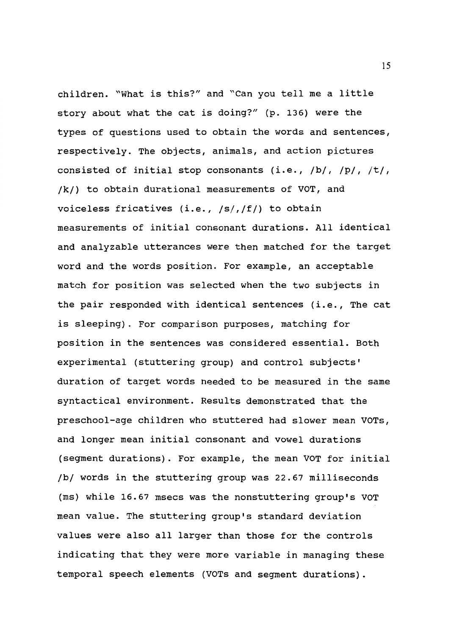children. "What is this?" and "Can you tell me a little story about what the cat is doing?" (p. 136) were the types of questions used to obtain the words and sentences, respectively. The objects, animals, and action pictures consisted of initial stop consonants (i.e., /b/, /p/, /t/, /k/) to obtain durational measurements of VOT, and voiceless fricatives (i.e.,  $/s/$ ,  $/f/$ ) to obtain measurements of initial consonant durations. All identical and analyzable utterances were then matched for the target word and the words position. For example, an acceptable match for position was selected when the two subjects in the pair responded with identical sentences (i.e., The cat is sleeping). For comparison purposes, matching for position in the sentences was considered essential. Both experimental (stuttering group) and control subjects• duration of target words needed to be measured in the same syntactical environment. Results demonstrated that the preschool-age children who stuttered had slower mean VOTs, and longer mean initial consonant and vowel durations (segment durations). For example, the mean VOT for initial /b/ words in the stuttering group was 22.67 milliseconds (ms) while 16.67 msecs was the nonstuttering group's VOT mean value. The stuttering group's standard deviation values were also all larger than those for the controls indicating that they were more variable in managing these temporal speech elements (VOTs and segment durations) .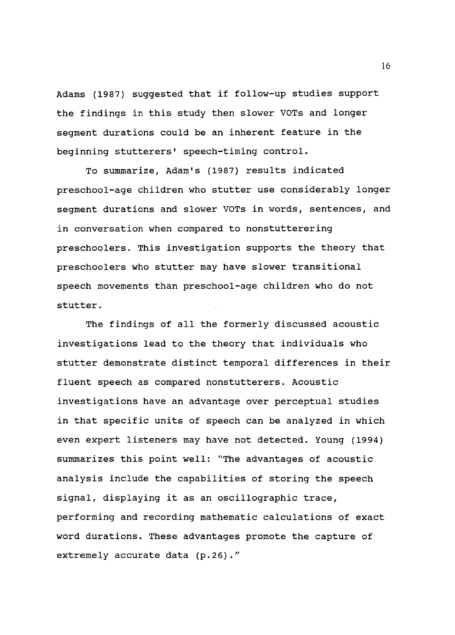Adams (1987) suggested that if follow-up studies support the findings in this study then slower VOTs and longer segment durations could be an inherent feature in the beginning stutterers' speech-timing control.

To summarize, Adam's (1987) results indicated preschool-age children who stutter use considerably longer segment durations and slower VOTs in words, sentences, and in conversation when compared to nonstutterering preschoolers. This investigation supports the theory that preschoolers who stutter may have slower transitional speech movements than preschool-age children who do not stutter.

The findings of all the formerly discussed acoustic investigations lead to the theory that individuals who stutter demonstrate distinct temporal differences in their fluent speech as compared nonstutterers. Acoustic investigations have an advantage over perceptual studies in that specific units of speech can be analyzed in which even expert listeners may have not detected. Young (1994) summarizes this point well: "The advantages of acoustic analysis include the capabilities of storing the speech signal, displaying it as an oscillographic trace, performing and recording mathematic calculations of exact word durations. These advantages promote the capture of extremely accurate data (p.26)."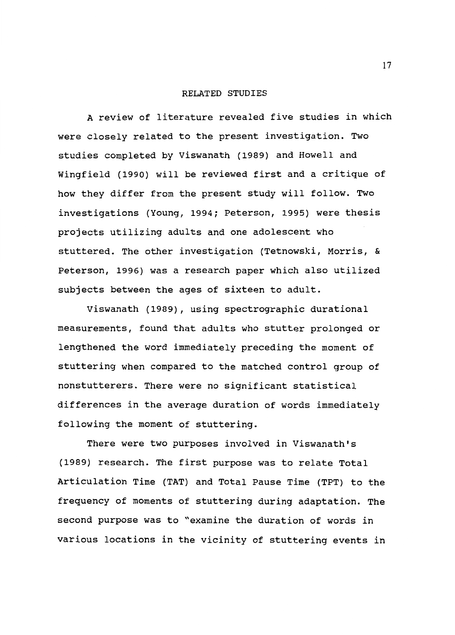#### RELATED STUDIES

A review of literature revealed five studies in which were closely related to the present investigation. Two studies completed by Viswanath (1989) and Howell and Wingfield (1990) will be reviewed first and a critique of how they differ from the present study will follow. Two investigations (Young, 1994; Peterson, 1995) were thesis projects utilizing adults and one adolescent who stuttered. The other investigation (Tetnowski, Morris, & Peterson, 1996) was a research paper which also utilized subjects between the ages of sixteen to adult.

Viswanath (1989), using spectrographic durational measurements, found that adults who stutter prolonged or lengthened the word immediately preceding the moment of stuttering when compared to the matched control group of nonstutterers. There were no significant statistical differences in the average duration of words immediately following the moment of stuttering.

There were two purposes involved in Viswanath's (1989) research. The first purpose was to relate Total Articulation Time (TAT) and Total Pause Time (TPT) to the frequency of moments of stuttering during adaptation. The second purpose was to "examine the duration of words in various locations in the vicinity of stuttering events in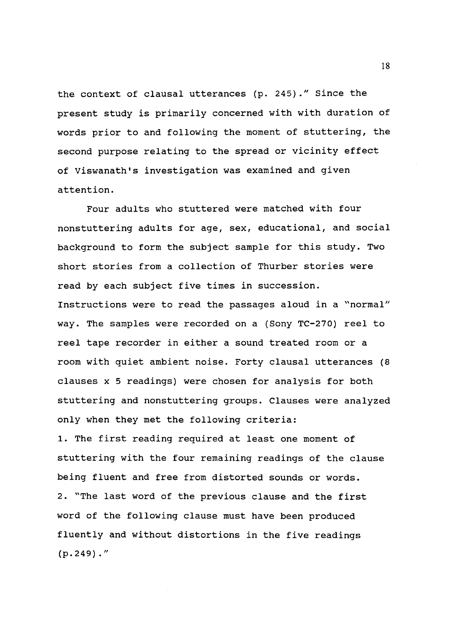the context of clausal utterances (p. 245)." Since the present study is primarily concerned with with duration of words prior to and following the moment of stuttering, the second purpose relating to the spread or vicinity effect of Viswanath's investigation was examined and given attention.

Four adults who stuttered were matched with four nonstuttering adults for age, sex, educational, and social background to form the subject sample for this study. Two short stories from a collection of Thurber stories were read by each subject five times in succession. Instructions were to read the passages aloud in a "normal" way. The samples were recorded on a (Sony TC-270) reel to reel tape recorder in either a sound treated room or a room with quiet ambient noise. Forty clausal utterances (8 clauses x 5 readings) were chosen for analysis for both stuttering and nonstuttering groups. Clauses were analyzed only when they met the following criteria: 1. The first reading required at least one moment of stuttering with the four remaining readings of the clause being fluent and free from distorted sounds or words.

2. "The last word of the previous clause and the first word of the following clause must have been produced fluently and without distortions in the five readings (p.249)."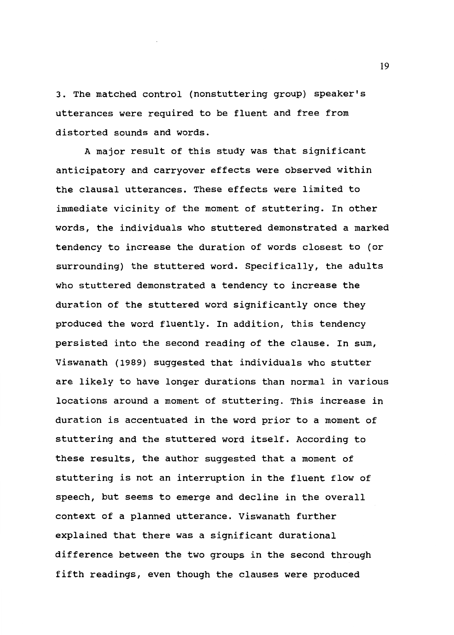3. The matched control (nonstuttering group) speaker's utterances were required to be fluent and free from distorted sounds and words.

A major result of this study was that significant anticipatory and carryover effects were observed within the clausal utterances. These effects were limited to immediate vicinity of the moment of stuttering. In other words, the individuals who stuttered demonstrated a marked tendency to increase the duration of words closest to (or surrounding) the stuttered word. Specifically, the adults who stuttered demonstrated a tendency to increase the duration of the stuttered word significantly once they produced the word fluently. In addition, this tendency persisted into the second reading of the clause. In sum, Viswanath (1989) suggested that individuals who stutter are likely to have longer durations than normal in various locations around a moment of stuttering. This increase in duration is accentuated in the word prior to a moment of stuttering and the stuttered word itself. According to these results, the author suggested that a moment of stuttering is not an interruption in the fluent flow of speech, but seems to emerge and decline in the overall context of a planned utterance. Viswanath further explained that there was a significant durational difference between the two groups in the second through fifth readings, even though the clauses were produced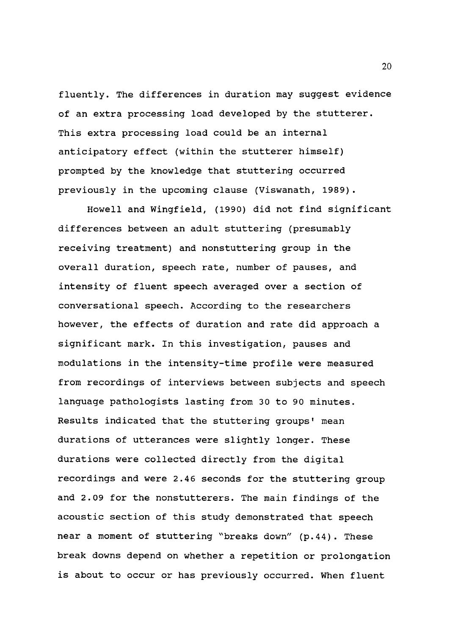fluently. The differences in duration may suggest evidence of an extra processing load developed by the stutterer. This extra processing load could be an internal anticipatory effect (within the stutterer himself) prompted by the knowledge that stuttering occurred previously in the upcoming clause (Viswanath, 1989) .

Howell and Wingfield, (1990) did not find significant differences between an adult stuttering (presumably receiving treatment) and nonstuttering group in the overall duration, speech rate, number of pauses, and intensity of fluent speech averaged over a section of conversational speech. According to the researchers however, the effects of duration and rate did approach a significant mark. In this investigation, pauses and modulations in the intensity-time profile were measured from recordings of interviews between subjects and speech language pathologists lasting from 30 to 90 minutes. Results indicated that the stuttering groups' mean durations of utterances were slightly longer. These durations were collected directly from the digital recordings and were 2.46 seconds for the stuttering group and 2.09 for the nonstutterers. The main findings of the acoustic section of this study demonstrated that speech near a moment of stuttering "breaks down" (p.44). These break downs depend on whether a repetition or prolongation is about to occur or has previously occurred. When fluent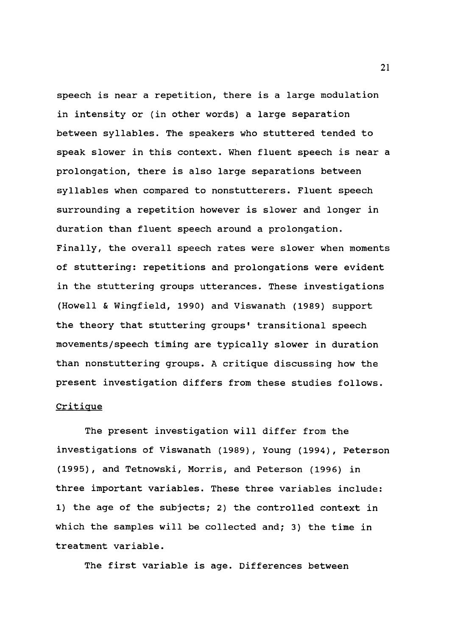speech is near a repetition, there is a large modulation in intensity or (in other words) a large separation between syllables. The speakers who stuttered tended to speak slower in this context. When fluent speech is near a prolongation, there is also large separations between syllables when compared to nonstutterers. Fluent speech surrounding a repetition however is slower and longer in duration than fluent speech around a prolongation. Finally, the overall speech rates were slower when moments of stuttering: repetitions and prolongations were evident in the stuttering groups utterances. These investigations (Howell & Wingfield, 1990) and Viswanath (1989) support the theory that stuttering groups' transitional speech movements/speech timing are typically slower in duration than nonstuttering groups. A critique discussing how the present investigation differs from these studies follows.

#### Critique

The present investigation will differ from the investigations of Viswanath (1989), Young (1994), Peterson (1995), and Tetnowski, Morris, and Peterson (1996) in three important variables. These three variables include: 1) the age of the subjects; 2) the controlled context *in*  which the samples will be collected and; 3) the time *in*  treatment variable.

The first variable is age. Differences between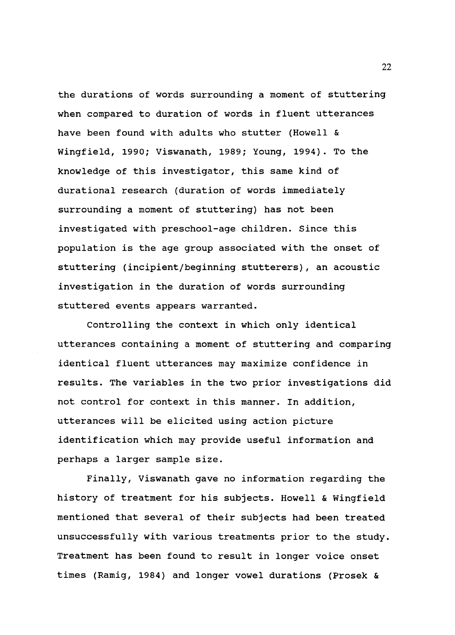the durations of words surrounding a moment of stuttering when compared to duration of words in fluent utterances have been found with adults who stutter (Howell & Wingfield, 1990; Viswanath, 1989; Young, 1994). To the knowledge of this investigator, this same kind of durational research (duration of words immediately surrounding a moment of stuttering) has not been investigated with preschool-age children. Since this population is the age group associated with the onset of stuttering (incipient/beginning stutterers), an acoustic investigation in the duration of words surrounding stuttered events appears warranted.

Controlling the context in which only identical utterances containing a moment of stuttering and comparing identical fluent utterances may maximize confidence in results. The variables in the two prior investigations did not control for context in this manner. In addition, utterances will be elicited using action picture identification which may provide useful information and perhaps a larger sample size.

Finally, Viswanath gave no information regarding the history of treatment for his subjects. Howell & Wingfield mentioned that several of their subjects had been treated unsuccessfully with various treatments prior to the study. Treatment has been found to result in longer voice onset times (Ramig, 1984) and longer vowel durations (Prosek &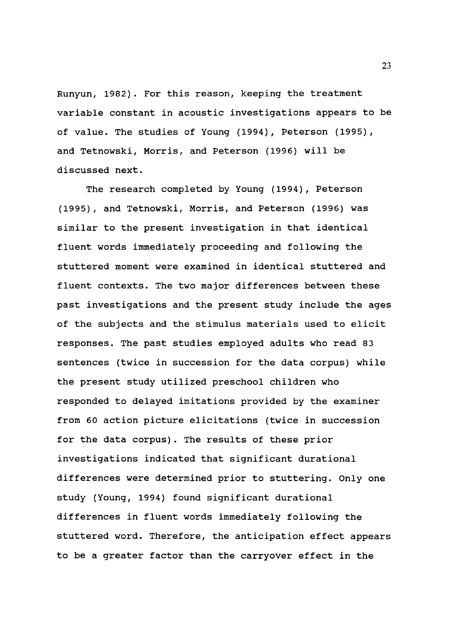Runyun, 1982). For this reason, keeping the treatment variable constant in acoustic investigations appears to be of value. The studies of Young (1994), Peterson (1995), and Tetnowski, Morris, and Peterson (1996) will be discussed next.

The research completed by Young (1994), Peterson (1995), and Tetnowski, Morris, and Peterson (1996) was similar to the present investigation in that identical fluent words immediately proceeding and following the stuttered moment were examined in identical stuttered and fluent contexts. The two major differences between these past investigations and the present study include the ages of the subjects and the stimulus materials used to elicit responses. The past studies employed adults who read 83 sentences (twice in succession for the data corpus) while the present study utilized preschool children who responded to delayed imitations provided by the examiner from 60 action picture elicitations (twice in succession for the data corpus) . The results of these prior investigations indicated that significant durational differences were determined prior to stuttering. Only one study (Young, 1994) found significant durational differences in fluent words immediately following the stuttered word. Therefore, the anticipation effect appears to be a greater factor than the carryover effect in the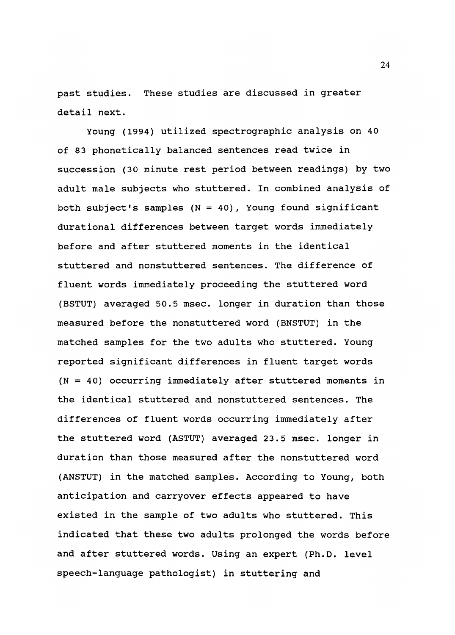past studies. These studies are discussed in greater detail next.

Young (1994) utilized spectrographic analysis on 40 of 83 phonetically balanced sentences read twice in succession (30 minute rest period between readings) by two adult male subjects who stuttered. In combined analysis of both subject's samples  $(N = 40)$ , Young found significant durational differences between target words immediately before and after stuttered moments in the identical stuttered and nonstuttered sentences. The difference of fluent words immediately proceeding the stuttered word (BSTUT) averaged 50.5 msec. longer in duration than those measured before the nonstuttered word (BNSTUT) in the matched samples for the two adults who stuttered. Young reported significant differences in fluent target words  $(N = 40)$  occurring immediately after stuttered moments in the identical stuttered and nonstuttered sentences. The differences of fluent words occurring immediately after the stuttered word (ASTUT) averaged 23.5 msec. longer in duration than those measured after the nonstuttered word (ANSTUT) in the matched samples. According to Young, both anticipation and carryover effects appeared to have existed in the sample of two adults who stuttered. This indicated that these two adults prolonged the words before and after stuttered words. Using an expert (Ph.D. level speech-language pathologist) in stuttering and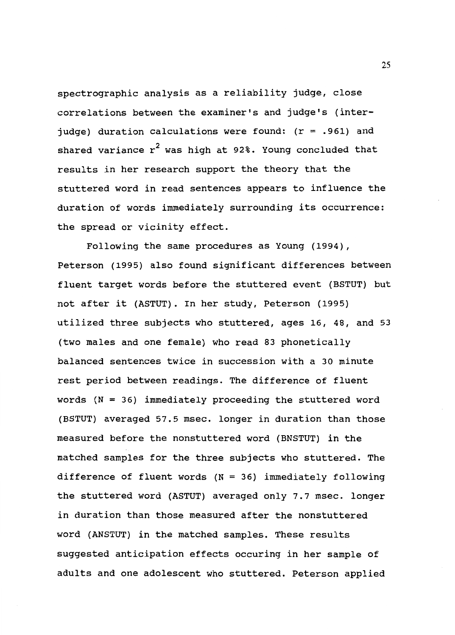spectrographic analysis as a reliability judge, close correlations between the examiner's and judge's (interjudge) duration calculations were found:  $(r = .961)$  and shared variance  $r^2$  was high at 92%. Young concluded that results in her research support the theory that the stuttered word in read sentences appears to influence the duration of words immediately surrounding its occurrence: the spread or vicinity effect.

Following the same procedures as Young (1994), Peterson (1995) also found significant differences between fluent target words before the stuttered event (BSTUT) but not after it (ASTUT). In her study, Peterson (1995) utilized three subjects who stuttered, ages 16, 48, and 53 (two males and one female) who read 83 phonetically balanced sentences twice in succession with a 30 minute rest period between readings. The difference of fluent words (N = 36) immediately proceeding the stuttered word (BSTUT) averaged 57.5 msec. longer in duration than those measured before the nonstuttered word (BNSTUT) in the matched samples for the three subjects who stuttered. The difference of fluent words  $(N = 36)$  immediately following the stuttered word (ASTUT) averaged only 7.7 msec. longer in duration than those measured after the nonstuttered word (ANSTUT) in the matched samples. These results suggested anticipation effects occuring in her sample of adults and one adolescent who stuttered. Peterson applied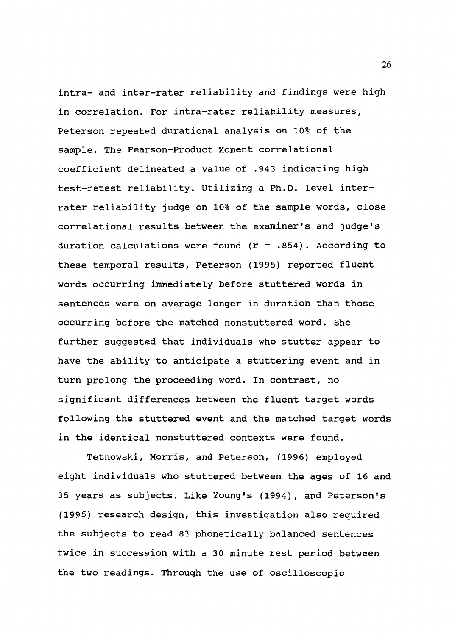intra- and inter-rater reliability and findings were high in correlation. For intra-rater reliability measures, Peterson repeated durational analysis on 10% of the sample. The Pearson-Product Moment correlational coefficient delineated a value of .943 indicating high test-retest reliability. Utilizing a Ph.D. level interrater reliability judge on 10% of the sample words, close correlational results between the examiner's and judge's duration calculations were found  $(r = .854)$ . According to these temporal results, Peterson (1995) reported fluent words occurring immediately before stuttered words in sentences were on average longer in duration than those occurring before the matched nonstuttered word. She further suggested that individuals who stutter appear to have the ability to anticipate a stuttering event and in turn prolong the proceeding word. In contrast, no significant differences between the fluent target words following the stuttered event and the matched target words in the identical nonstuttered contexts were found.

Tetnowski, Morris, and Peterson, (1996) employed eight individuals who stuttered between the ages of 16 and 35 years as subjects. Like Young's (1994), and Peterson's (1995) research design, this investigation also required the subjects to read 83 phonetically balanced sentences twice in succession with a 30 minute rest period between the two readings. Through the use of oscilloscopic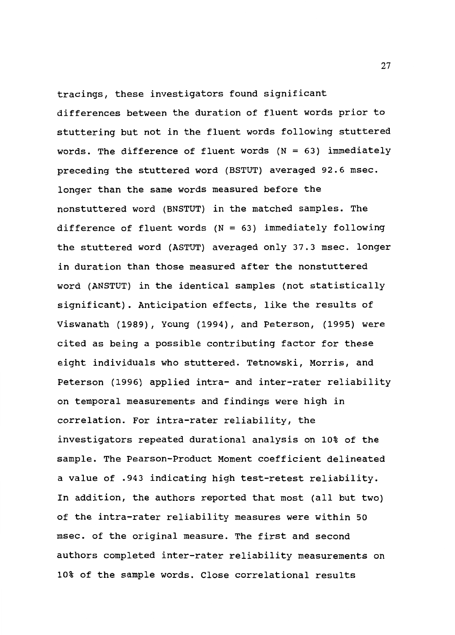tracings, these investigators found significant differences between the duration of fluent words prior to stuttering but not in the fluent words following stuttered words. The difference of fluent words  $(N = 63)$  immediately preceding the stuttered word (BSTUT) averaged 92.6 msec. longer than the same words measured before the nonstuttered word (BNSTUT) in the matched samples. The difference of fluent words  $(N = 63)$  immediately following the stuttered word (ASTUT) averaged only 37.3 msec. longer in duration than those measured after the nonstuttered word (ANSTUT) in the identical samples (not statistically significant). Anticipation effects, like the results of Viswanath (1989), Young (1994), and Peterson, (1995) were cited as being a possible contributing factor for these eight individuals who stuttered. Tetnowski, Morris, and Peterson (1996) applied intra- and inter-rater reliability on temporal measurements and findings were high in correlation. For intra-rater reliability, the investigators repeated durational analysis on 10% of the sample. The Pearson-Product Moment coefficient delineated a value of .943 indicating high test-retest reliability. In addition, the authors reported that most (all but two) of the intra-rater reliability measures were within 50 msec. of the original measure. The first and second authors completed inter-rater reliability measurements on 10% of the sample words. Close correlational results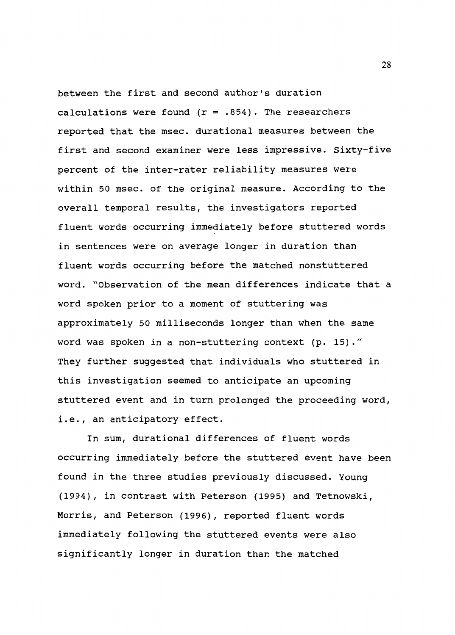between the first and second author's duration calculations were found  $(r = .854)$ . The researchers reported that the msec. durational measures between the first and second examiner were less impressive. Sixty-five percent of the inter-rater reliability measures were within 50 msec. of the original measure. According to the overall temporal results, the investigators reported fluent words occurring immediately before stuttered words in sentences were on average longer in duration than fluent words occurring before the matched nonstuttered word. "Observation of the mean differences indicate that a word spoken prior to a moment of stuttering was approximately 50 milliseconds longer than when the same word was spoken in a non-stuttering context (p. 15) ." They further suggested that individuals who stuttered in this investigation seemed to anticipate an upcoming stuttered event and in turn prolonged the proceeding word, i.e., an anticipatory effect.

In sum, durational differences of fluent words occurring immediately before the stuttered event have been found in the three studies previously discussed. Young (1994), in contrast with Peterson (1995) and Tetnowski, Morris, and Peterson (1996), reported fluent words immediately following the stuttered events were also significantly longer in duration than the matched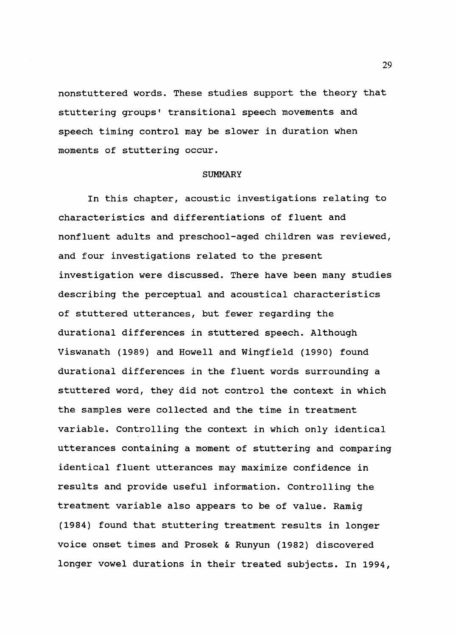nonstuttered words. These studies support the theory that stuttering groups' transitional speech movements and speech timing control may be slower in duration when moments of stuttering occur.

#### SUMMARY

In this chapter, acoustic investigations relating to characteristics and differentiations of fluent and nonfluent adults and preschool-aged children was reviewed, and four investigations related to the present investigation were discussed. There have been many studies describing the perceptual and acoustical characteristics of stuttered utterances, but fewer regarding the durational differences in stuttered speech. Although Viswanath (1989) and Howell and Wingfield (1990) found durational differences in the fluent words surrounding a stuttered word, they did not control the context in which the samples were collected and the time in treatment variable. Controlling the context in which only identical utterances containing a moment of stuttering and comparing identical fluent utterances may maximize confidence in results and provide useful information. Controlling the treatment variable also appears to be of value. Ramig (1984) found that stuttering treatment results in longer voice onset times and Prosek & Runyun (1982) discovered longer vowel durations in their treated subjects. In 1994,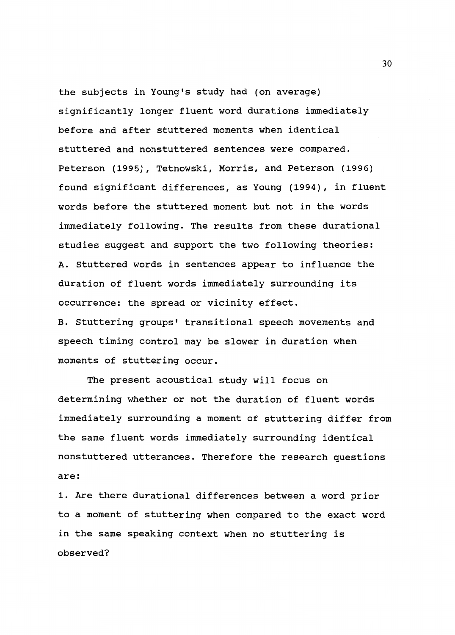the subjects in Young's study had (on average) significantly longer fluent word durations immediately before and after stuttered moments when identical stuttered and nonstuttered sentences were compared. Peterson (1995), Tetnowski, Morris, and Peterson (1996) found significant differences, as Young (1994), in fluent words before the stuttered moment but not in the words immediately following. The results from these durational studies suggest and support the two following theories: A. stuttered words in sentences appear to influence the duration of fluent words immediately surrounding its occurrence: the spread or vicinity effect.

B. Stuttering groups' transitional speech movements and speech timing control may be slower in duration when moments of stuttering occur.

The present acoustical study will focus on determining whether or not the duration of fluent words immediately surrounding a moment of stuttering differ from the same fluent words immediately surrounding identical nonstuttered utterances. Therefore the research questions are:

1. Are there durational differences between a word prior to a moment of stuttering when compared to the exact word in the same speaking context when no stuttering is observed?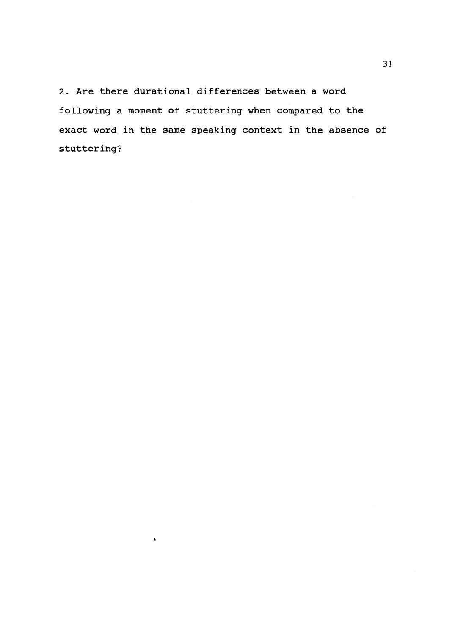2. Are there durational differences between a word following a moment of stuttering when compared to the exact word in the same speaking context in the absence of stuttering?

 $\bullet$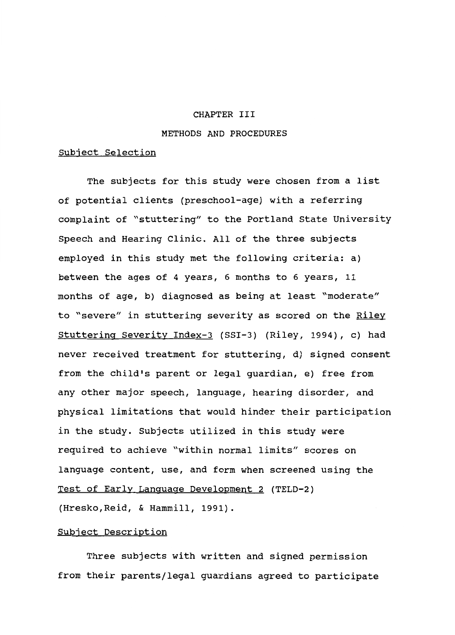# CHAPTER III

# METHODS AND PROCEDURES

#### Subject Selection

The subjects for this study were chosen from a list of potential clients (preschool-age) with a referring complaint of "stuttering" to the Portland State University Speech and Hearing Clinic. All of the three subjects employed in this study met the following criteria: a) between the ages of 4 years, 6 months to 6 years, 11 months of age, b) diagnosed as being at least "moderate" to "severe" in stuttering severity as scored on the Riley Stuttering Severity Index-3 (SSI-3) (Riley, 1994), c) had never received treatment for stuttering, d) signed consent from the child's parent or legal guardian, e) free from any other major speech, language, hearing disorder, and physical limitations that would hinder their participation in the study. Subjects utilized in this study were required to achieve "within normal limits" scores on language content, use, and form when screened using the Test of Early Language Development 2 (TELD-2) (Hresko,Reid, & Hammill, 1991).

# Subject Description

Three subjects with written and signed permission from their parents/legal guardians agreed to participate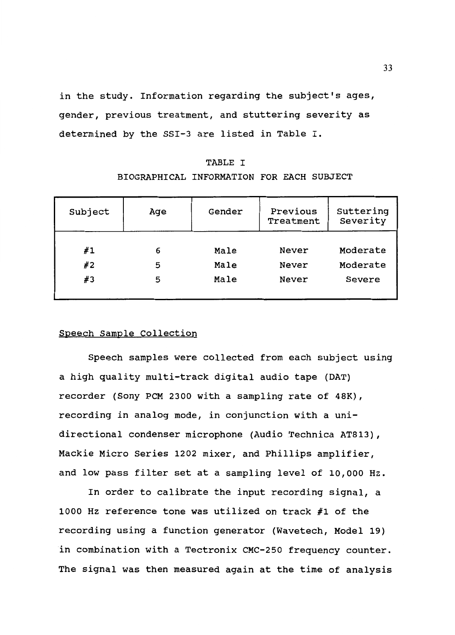in the study. Information regarding the subject's ages, gender, previous treatment, and stuttering severity as determined by the SSI-3 are listed in Table I.

| TABLE I                                   |  |  |  |  |  |  |
|-------------------------------------------|--|--|--|--|--|--|
| BIOGRAPHICAL INFORMATION FOR EACH SUBJECT |  |  |  |  |  |  |

| Subject        | Age         | Gender               | Previous<br>Treatment   | Suttering<br>Severity          |
|----------------|-------------|----------------------|-------------------------|--------------------------------|
| #1<br>#2<br>#3 | 6<br>5<br>5 | Male<br>Male<br>Male | Never<br>Never<br>Never | Moderate<br>Moderate<br>Severe |
|                |             |                      |                         |                                |

#### Speech Sample Collection

Speech samples were collected from each subject using a high quality multi-track digital audio tape (DAT) recorder (Sony PCM 2300 with a sampling rate of 48K), recording in analog mode, in conjunction with a unidirectional condenser microphone (Audio Technica AT813), Mackie Micro Series 1202 mixer, and Phillips amplifier, and low pass filter set at a sampling level of 10,000 Hz.

In order to calibrate the input recording signal, a 1000 Hz reference tone was utilized on track #1 of the recording using a function generator (Wavetech, Model 19) in combination with a Tectronix CMC-250 frequency counter. The signal was then measured again at the time of analysis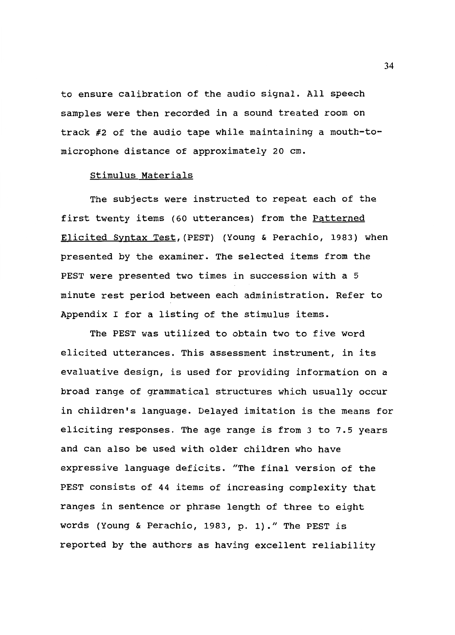to ensure calibration of the audio signal. All speech samples were then recorded in a sound treated room on track #2 of the audio tape while maintaining a mouth-tomicrophone distance of approximately 20 cm.

# Stimulus Materials

The subjects were instructed to repeat each of the first twenty items (60 utterances) from the Patterned Elicited Syntax Test, (PEST) (Young & Perachio, 1983) when presented by the examiner. The selected items from the PEST were presented two times in succession with a 5 minute rest period between each administration. Refer to Appendix I for a listing of the stimulus items.

The PEST was utilized to obtain two to five word elicited utterances. This assessment instrument, in its evaluative design, is used for providing information on a broad range of grammatical structures which usually occur in children's language. Delayed imitation is the means for eliciting responses. The age range is from 3 to 7.5 years and can also be used with older children who have expressive language deficits. "The final version of the PEST consists of 44 items of increasing complexity that ranges in sentence or phrase length of three to eight words (Young & Perachio, 1983, p. 1)." The PEST is reported by the authors as having excellent reliability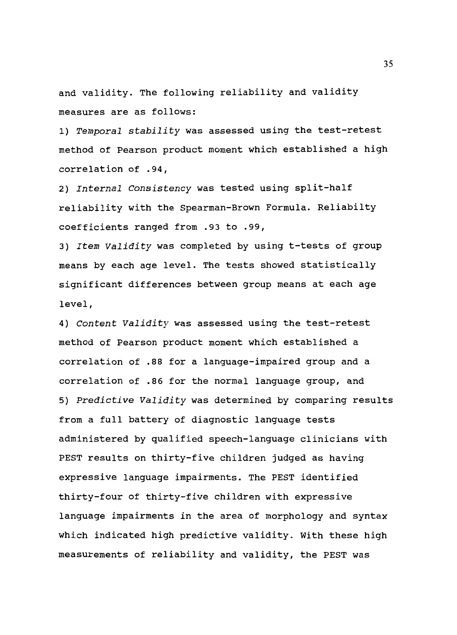and validity. The following reliability and validity measures are as follows:

1) *Temporal stability* was assessed using the test-retest method of Pearson product moment which established a high correlation of .94,

2) *Internal Consistency* was tested using split-half reliability with the Spearman-Brown Formula. Reliabilty coefficients ranged from .93 to .99,

3) *Item Validity* was completed by using t-tests of group means by each age level. The tests showed statistically significant differences between group means at each age level,

4) *Content Validity* was assessed using the test-retest method of Pearson product moment which established a correlation of .88 for a language-impaired group and a correlation of .86 for the normal language group, and 5) *Predictive Validity* was determined by comparing results from a full battery of diagnostic language tests administered by qualified speech-language clinicians with PEST results on thirty-five children judged as having expressive language impairments. The PEST identified thirty-four of thirty-five children with expressive language impairments in the area of morphology and syntax which indicated high predictive validity. With these high measurements of reliability and validity, the PEST was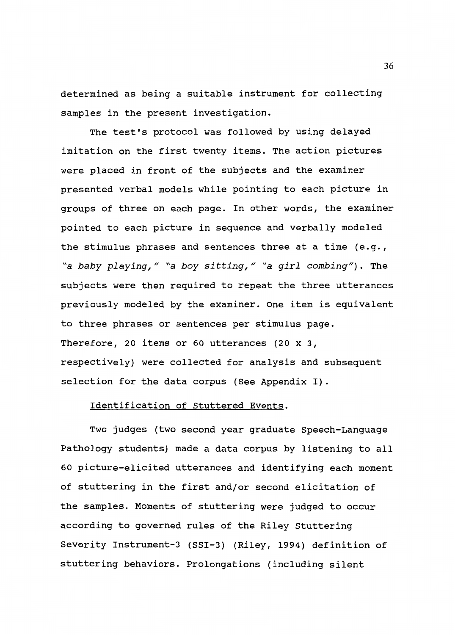determined as being a suitable instrument for collecting samples in the present investigation.

The test's protocol was followed by using delayed imitation on the first twenty items. The action pictures were placed in front of the subjects and the examiner presented verbal models while pointing to each picture in groups of three on each page. In other words, the examiner pointed to each picture in sequence and verbally modeled the stimulus phrases and sentences three at a time (e.g., *"a baby playing,* " *"a boy sitting,* " *"a girl combing")* . The subjects were then required to repeat the three utterances previously modeled by the examiner. One item is equivalent to three phrases or sentences per stimulus page. Therefore, 20 items or 60 utterances (20 x 3, respectively) were collected for analysis and subsequent selection for the data corpus (See Appendix I).

#### Identification of Stuttered Events.

Two judges (two second year graduate Speech-Language Pathology students) made a data corpus by listening to all 60 picture-elicited utterances and identifying each moment of stuttering in the first and/or second elicitation of the samples. Moments of stuttering were judged to occur according to governed rules of the Riley stuttering Severity Instrument-3 (SSI-3) (Riley, 1994) definition of stuttering behaviors. Prolongations (including silent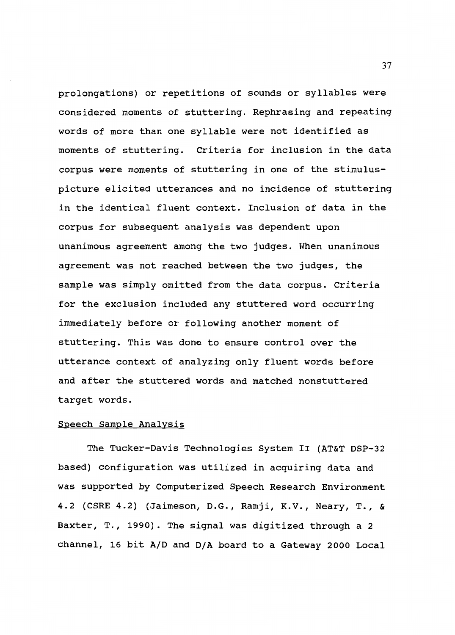prolongations) or repetitions of sounds or syllables were considered moments of stuttering. Rephrasing and repeating words of more than one syllable were not identified as moments of stuttering. Criteria for inclusion in the data corpus were moments of stuttering in one of the stimuluspicture elicited utterances and no incidence of stuttering in the identical fluent context. Inclusion of data in the corpus for subsequent analysis was dependent upon unanimous agreement among the two judges. When unanimous agreement was not reached between the two judges, the sample was simply omitted from the data corpus. Criteria for the exclusion included any stuttered word occurring immediately before or following another moment of stuttering. This was done to ensure control over the utterance context of analyzing only fluent words before and after the stuttered words and matched nonstuttered target words.

#### Speech Sample Analysis

The Tucker-Davis Technologies System II (AT&T DSP-32 based) configuration was utilized in acquiring data and was supported by Computerized Speech Research Environment 4.2 (CSRE 4.2) (Jaimeson, D.G., Ramji, K.V., Neary, T., & Baxter, T., 1990). The signal was digitized through a 2 channel, 16 bit A/D and D/A board to a Gateway 2000 Local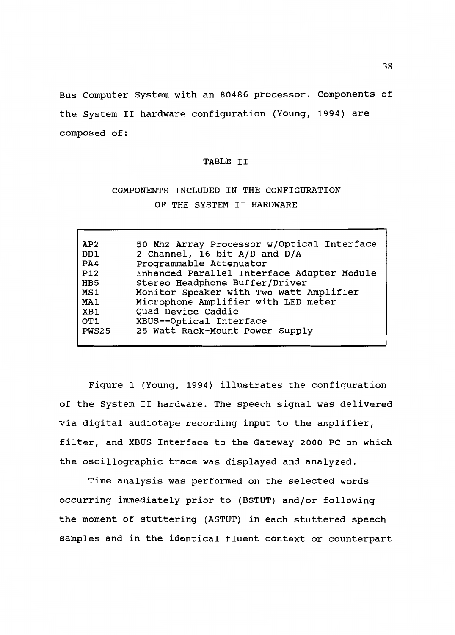Bus Computer System with an 80486 processor. Components of the System II hardware configuration (Young, 1994) are composed of:

# TABLE II

# COMPONENTS INCLUDED IN THE CONFIGURATION OF THE SYSTEM II HARDWARE

| AP2<br>DD1<br>PA4<br><b>P12</b> | 50 Mhz Array Processor w/Optical Interface<br>2 Channel, 16 bit A/D and D/A<br>Programmable Attenuator<br>Enhanced Parallel Interface Adapter Module |
|---------------------------------|------------------------------------------------------------------------------------------------------------------------------------------------------|
| HB5                             | Stereo Headphone Buffer/Driver                                                                                                                       |
| MS1                             | Monitor Speaker with Two Watt Amplifier                                                                                                              |
| <b>MA1</b>                      | Microphone Amplifier with LED meter                                                                                                                  |
| XB1                             | Quad Device Caddie                                                                                                                                   |
| OT1                             | XBUS--Optical Interface                                                                                                                              |
| PWS25                           | 25 Watt Rack-Mount Power Supply                                                                                                                      |

Figure 1 (Young, 1994) illustrates the configuration of the System II hardware. The speech signal was delivered via digital audiotape recording input to the amplifier, filter, and XBUS Interface to the Gateway 2000 PC on which the oscillographic trace was displayed and analyzed.

Time analysis was performed on the selected words occurring immediately prior to (BSTUT) and/or following the moment of stuttering (ASTUT) in each stuttered speech samples and in the identical fluent context or counterpart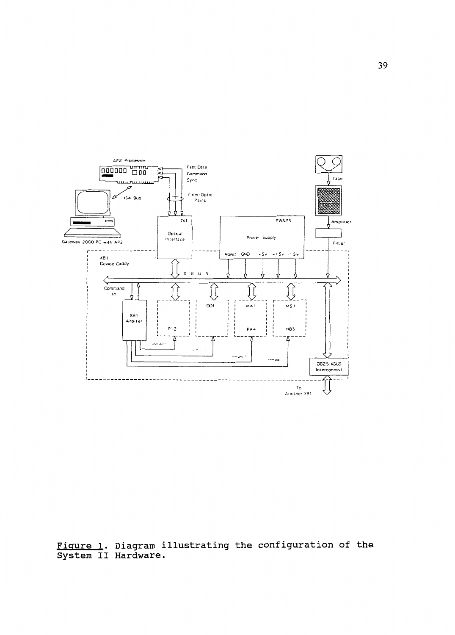

Figure System l· II Diagram illustrating the configuration of Hardware. the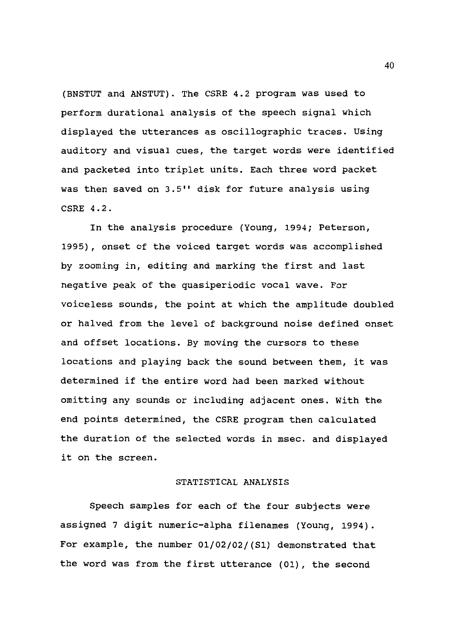(BNSTUT and ANSTUT). The CSRE 4.2 program was used to perform durational analysis of the speech signal which displayed the utterances as oscillographic traces. Using auditory and visual cues, the target words were identified and packeted into triplet units. Each three word packet was then saved on 3.5" disk for future analysis using CSRE 4.2.

In the analysis procedure (Young, 1994; Peterson, 1995), onset of the voiced target words was accomplished by zooming in, editing and marking the first and last negative peak of the quasiperiodic vocal wave. For voiceless sounds, the point at which the amplitude doubled or halved from the level of background noise defined onset and offset locations. By moving the cursors to these locations and playing back the sound between them, it was determined if the entire word had been marked without omitting any sounds or including adjacent ones. With the end points determined, the CSRE program then calculated the duration of the selected words in msec. and displayed it on the screen.

# STATISTICAL ANALYSIS

Speech samples for each of the four subjects were assigned 7 digit numeric-alpha filenames (Young, 1994). For example, the number 01/02/02/(Sl) demonstrated that the word was from the first utterance (01), the second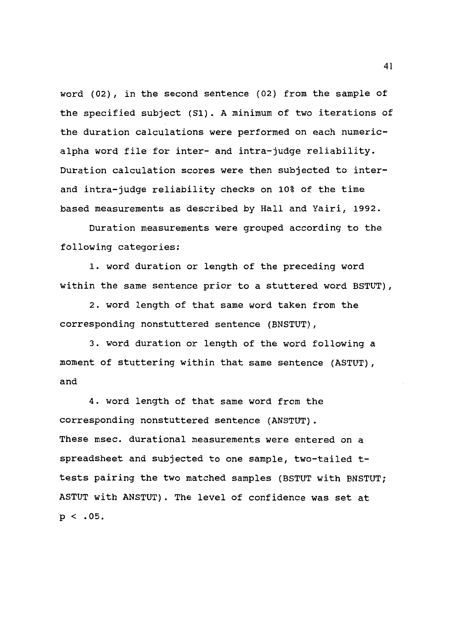word (02), in the second sentence (02) from the sample of the specified subject (Sl). A minimum of two iterations of the duration calculations were performed on each numericalpha word file for inter- and intra-judge reliability. Duration calculation scores were then subjected to interand intra-judge reliability checks on 10% of the time based measurements as described by Hall and Yairi, 1992.

Duration measurements were grouped according to the following categories:

1. word duration or length of the preceding word within the same sentence prior to a stuttered word BSTUT),

2. word length of that same word taken from the corresponding nonstuttered sentence (BNSTUT) ,

3. word duration or length of the word following a moment of stuttering within that same sentence (ASTUT), and

4. word length of that same word from the corresponding nonstuttered sentence (ANSTUT) . These msec. durational measurements were entered on a spreadsheet and subjected to one sample, two-tailed ttests pairing the two matched samples (BSTUT with BNSTUT; ASTUT with ANSTUT). The level of confidence was set at  $p < .05.$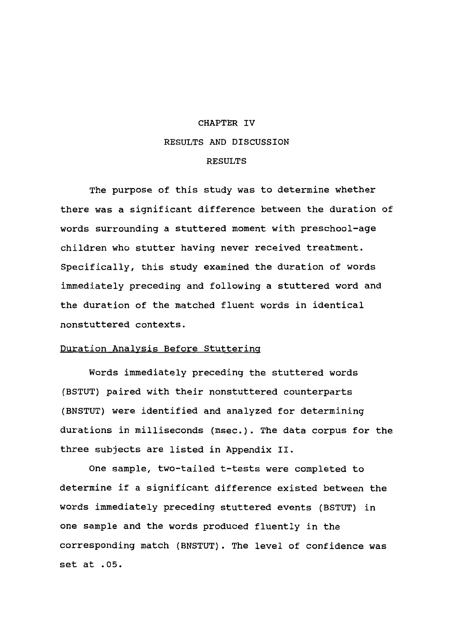# CHAPTER IV RESULTS AND DISCUSSION

# RESULTS

The purpose of this study was to determine whether there was a significant difference between the duration of words surrounding a stuttered moment with preschool-age children who stutter having never received treatment. Specifically, this study examined the duration of words immediately preceding and following a stuttered word and the duration of the matched fluent words in identical nonstuttered contexts.

# Duration Analysis Before stuttering

Words immediately preceding the stuttered words (BSTUT) paired with their nonstuttered counterparts (BNSTUT) were identified and analyzed for determining durations in milliseconds (msec.). The data corpus for the three subjects are listed in Appendix II.

One sample, two-tailed t-tests were completed to determine if a significant difference existed between the words immediately preceding stuttered events (BSTUT) in one sample and the words produced fluently in the corresponding match (BNSTUT). The level of confidence was set at .05.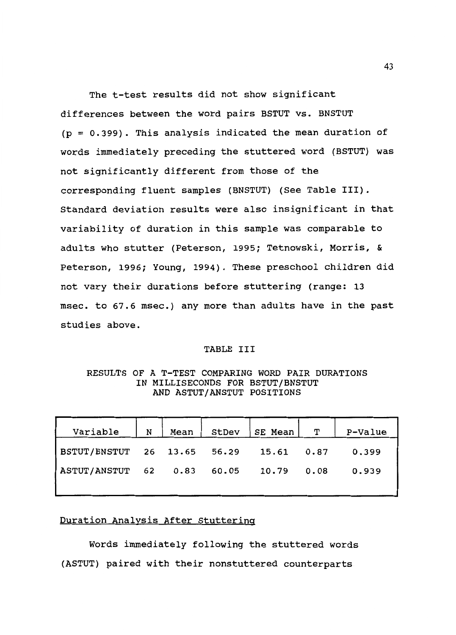The t-test results did not show significant differences between the word pairs BSTUT vs. BNSTUT (p = 0.399). This analysis indicated the mean duration of words immediately preceding the stuttered word (BSTUT) was not significantly different from those of the corresponding fluent samples (BNSTUT) (See Table III). Standard deviation results were also insignificant in that variability of duration in this sample was comparable to adults who stutter (Peterson, 1995; Tetnowski, Morris, & Peterson, 1996; Young, 1994). These preschool children did not vary their durations before stuttering (range: 13 msec. to 67.6 msec.) any more than adults have in the past studies above.

## TABLE III

## RESULTS OF A T-TEST COMPARING WORD PAIR DURATIONS IN MILLISECONDS FOR BSTUT/BNSTUT AND ASTUT/ANSTUT POSITIONS

| Variable                               | N | Mean StDev  | SE Mean T |      | P-Value |
|----------------------------------------|---|-------------|-----------|------|---------|
| BSTUT/BNSTUT 26 13.65 56.29 15.61 0.87 |   |             |           |      | 0.399   |
| ASTUT/ANSTUT 62 0.83                   |   | 60.05 10.79 |           | 0.08 | 0.939   |
|                                        |   |             |           |      |         |

# Duration Analysis After Stuttering

Words immediately following the stuttered words (ASTUT) paired with their nonstuttered counterparts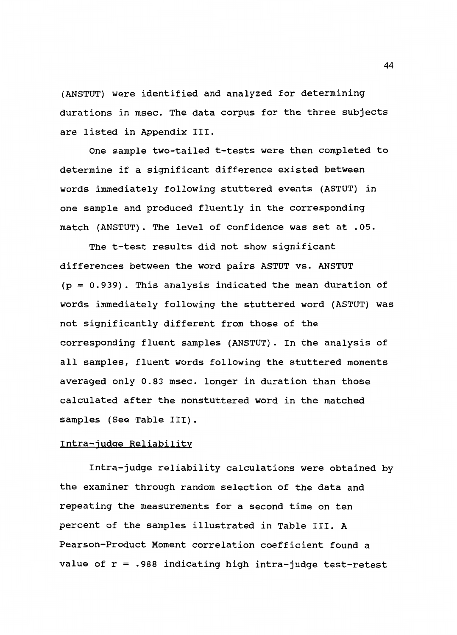(ANSTUT) were identified and analyzed for determining durations in msec. The data corpus for the three subjects are listed in Appendix III.

One sample two-tailed t-tests were then completed to determine if a significant difference existed between words immediately following stuttered events (ASTUT) in one sample and produced fluently in the corresponding match (ANSTUT). The level of confidence was set at .05.

The t-test results did not show significant differences between the word pairs ASTUT vs. ANSTUT (p = 0.939). This analysis indicated the mean duration of words immediately following the stuttered word (ASTUT} was not significantly different from those of the corresponding fluent samples (ANSTUT). In the analysis of all samples, fluent words following the stuttered moments averaged only 0.83 msec. longer in duration than those calculated after the nonstuttered word in the matched samples (See Table III).

#### Intra-judge Reliability

Intra-judge reliability calculations were obtained by the examiner through random selection of the data and repeating the measurements for a second time on ten percent of the samples illustrated in Table III. A Pearson-Product Moment correlation coefficient found a value of  $r = .988$  indicating high intra-judge test-retest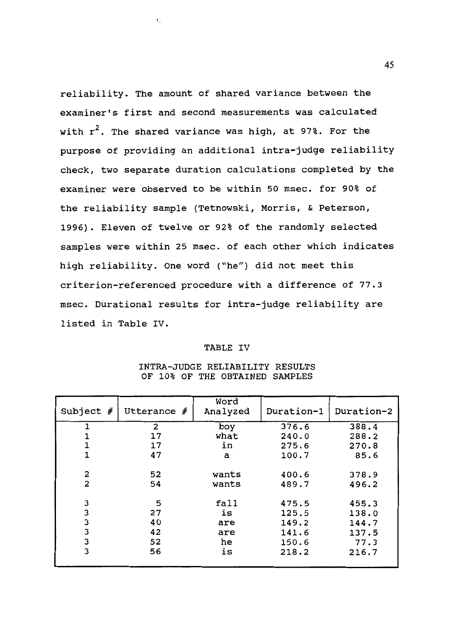reliability. The amount of shared variance between the examiner's first and second measurements was calculated with  $r^2$ . The shared variance was high, at 97%. For the purpose of providing an additional intra-judge reliability check, two separate duration calculations completed by the examiner were observed to be within 50 msec. for 90% of the reliability sample (Tetnowski, Morris, & Peterson, 1996) . Eleven of twelve or 92% of the randomly selected samples were within 25 msec. of each other which indicates high reliability. one word ("he") did not meet this criterion-referenced procedure with a difference of 77.3 msec. Durational results for intra-judge reliability are listed in Table IV.

'·

#### TABLE IV

| Subject $#$    | Utterance $#$ | Word<br>Analyzed | Duration-1 | Duration-2 |
|----------------|---------------|------------------|------------|------------|
|                | 2             | boy              | 376.6      | 388.4      |
|                | 17            | what             | 240.0      | 288.2      |
|                | 17            | in               | 275.6      | 270.8      |
| 1              | 47            | a                | 100.7      | 85.6       |
|                |               |                  |            |            |
| 2              | 52            | wants            | 400.6      | 378.9      |
| $\overline{2}$ | 54            | wants            | 489.7      | 496.2      |
|                |               |                  |            |            |
| 3              | 5             | fall             | 475.5      | 455.3      |
| 3              | 27            | is               | 125.5      | 138.0      |
| 3              | 40            | are              | 149.2      | 144.7      |
| 3              | 42            | are              | 141.6      | 137.5      |
| 3              | 52            | he               | 150.6      | 77.3       |
| 3              | 56            | is               | 218.2      | 216.7      |
|                |               |                  |            |            |

#### INTRA-JUDGE RELIABILITY RESULTS OF 10% OF THE OBTAINED SAMPLES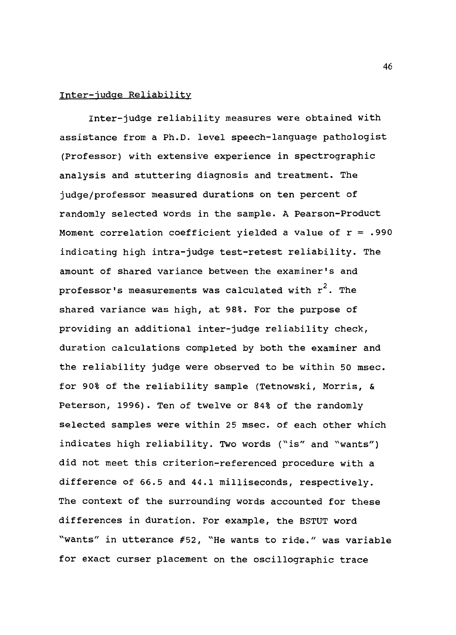#### Inter-judge Reliability

Inter-judge reliability measures were obtained with assistance from a Ph.D. level speech-language pathologist (Professor) with extensive experience in spectrographic analysis and stuttering diagnosis and treatment. The judge/professor measured durations on ten percent of randomly selected words in the sample. A Pearson-Product Moment correlation coefficient yielded a value of  $r = .990$ indicating high intra-judge test-retest reliability. The amount of shared variance between the examiner's and professor's measurements was calculated with  $r^2$ . The shared variance was high, at 98%. For the purpose of providing an additional inter-judge reliability check, duration calculations completed by both the examiner and the reliability judge were observed to be within 50 msec. for 90% of the reliability sample (Tetnowski, Morris, & Peterson, 1996). Ten of twelve or 84% of the randomly selected samples were within 25 msec. of each other which indicates high reliability. Two words ("is" and "wants") did not meet this criterion-referenced procedure with a difference of 66.5 and 44.1 milliseconds, respectively. The context of the surrounding words accounted for these differences in duration. For example, the BSTUT word "wants" in utterance #52, "He wants to ride." was variable for exact curser placement on the oscillographic trace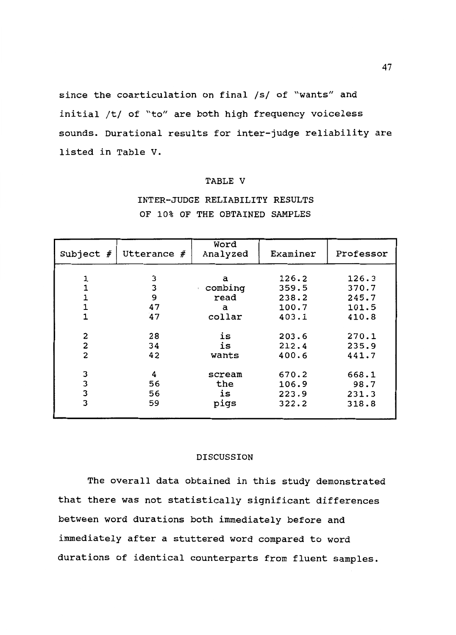since the coarticulation on final /s/ of "wants" and initial /t/ of "to" are both high frequency voiceless sounds. Durational results for inter-judge reliability are listed in Table v.

#### TABLE V

| Subject $#$             | Utterance $#$ | Word<br>Analyzed | Examiner | Professor |
|-------------------------|---------------|------------------|----------|-----------|
| 1                       | 3             | a                | 126.2    | 126.3     |
| $\mathbf{1}$            | 3             | combing          | 359.5    | 370.7     |
| $\mathbf{1}$            | 9             | read             | 238.2    | 245.7     |
| 1                       | 47            | a                | 100.7    | 101.5     |
| $\mathbf{1}$            | 47            | collar           | 403.1    | 410.8     |
|                         |               |                  |          |           |
| 2                       | 28            | is               | 203.6    | 270.1     |
| $\overline{\mathbf{c}}$ | 34            | is               | 212.4    | 235.9     |
| $\overline{c}$          | 42            | wants            | 400.6    | 441.7     |
|                         |               |                  |          |           |
| 3                       | 4             | scream           | 670.2    | 668.1     |
| 3                       | 56            | the              | 106.9    | 98.7      |
| 3                       | 56            | is               | 223.9    | 231.3     |
| 3                       | 59            | pigs             | 322.2    | 318.8     |
|                         |               |                  |          |           |

# INTER-JUDGE RELIABILITY RESULTS OF 10% OF THE OBTAINED SAMPLES

# DISCUSSION

The overall data obtained in this study demonstrated that there was not statistically significant differences between word durations both immediately before and immediately after a stuttered word compared to word durations of identical counterparts from fluent samples.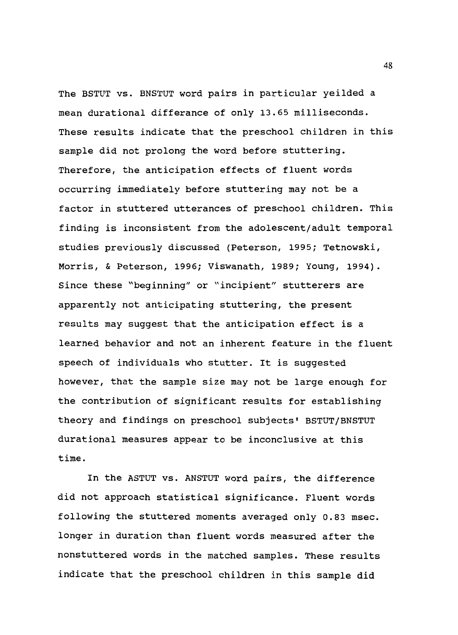The BSTUT vs. BNSTUT word pairs in particular yeilded a mean durational differance of only 13.65 milliseconds. These results indicate that the preschool children in this sample did not prolong the word before stuttering. Therefore, the anticipation effects of fluent words occurring immediately before stuttering may not be a factor in stuttered utterances of preschool children. This finding is inconsistent from the adolescent/adult temporal studies previously discussed (Peterson, 1995; Tetnowski, Morris, & Peterson, 1996; Viswanath, 1989; Young, 1994). Since these "beginning" or "incipient" stutterers are apparently not anticipating stuttering, the present results may suggest that the anticipation effect is a learned behavior and not an inherent feature in the fluent speech of individuals who stutter. It is suggested however, that the sample size may not be large enough for the contribution of significant results for establishing theory and findings on preschool subjects' BSTUT/BNSTUT durational measures appear to be inconclusive at this time.

In the ASTUT vs. ANSTUT word pairs, the difference did not approach statistical significance. Fluent words following the stuttered moments averaged only 0.83 msec. longer in duration than fluent words measured after the nonstuttered words in the matched samples. These results indicate that the preschool children in this sample did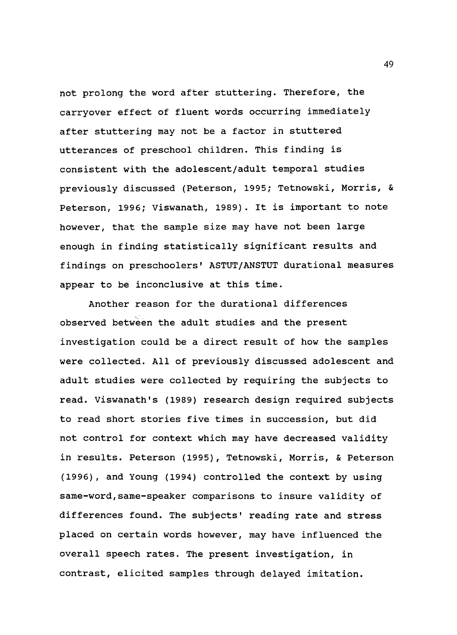not prolong the word after stuttering. Therefore, the carryover effect of fluent words occurring immediately after stuttering may not be a factor in stuttered utterances of preschool children. This finding is consistent with the adolescent/adult temporal studies previously discussed (Peterson, 1995; Tetnowski, Morris, & Peterson, 1996; Viswanath, 1989). It is important to note however, that the sample size may have not been large enough in finding statistically significant results and findings on preschoolers' ASTUT/ANSTUT durational measures appear to be inconclusive at this time.

Another reason for the durational differences observed between the adult studies and the present investigation could be a direct result of how the samples were collected. All of previously discussed adolescent and adult studies were collected by requiring the subjects to read. Viswanath's (1989) research design required subjects to read short stories five times in succession, but did not control for context which may have decreased validity in results. Peterson (1995), Tetnowski, Morris, & Peterson (1996), and Young (1994) controlled the context by using same-word, same-speaker comparisons to insure validity of differences found. The subjects' reading rate and stress placed on certain words however, may have influenced the overall speech rates. The present investigation, in contrast, elicited samples through delayed imitation.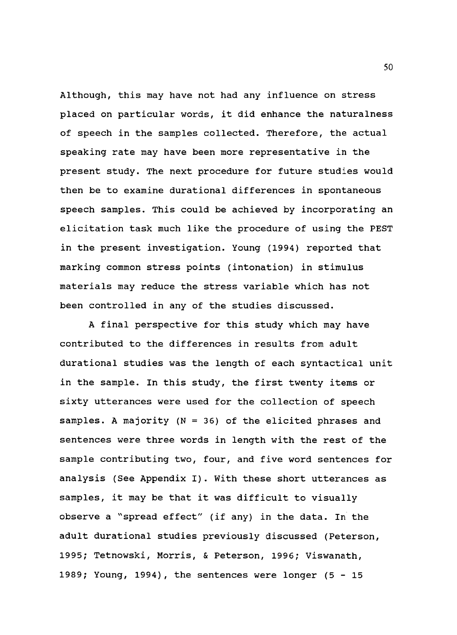Although, this may have not had any influence on stress placed on particular words, it did enhance the naturalness of speech in the samples collected. Therefore, the actual speaking rate may have been more representative in the present study. The next procedure for future studies would then be to examine durational differences in spontaneous speech samples. This could be achieved by incorporating an elicitation task much like the procedure of using the PEST in the present investigation. Young (1994) reported that marking common stress points (intonation) in stimulus materials may reduce the stress variable which has not been controlled in any of the studies discussed.

A final perspective for this study which may have contributed to the differences in results from adult durational studies was the length of each syntactical unit in the sample. In this study, the first twenty items or sixty utterances were used for the collection of speech samples. A majority (N = 36) of the elicited phrases and sentences were three words in length with the rest of the sample contributing two, four, and five word sentences for analysis (See Appendix I). With these short utterances as samples, it may be that it was difficult to visually observe a "spread effect" (if any) in the data. In the adult durational studies previously discussed (Peterson, 1995; Tetnowski, Morris, & Peterson, 1996; Viswanath, 1989; Young, 1994), the sentences were longer (5 - 15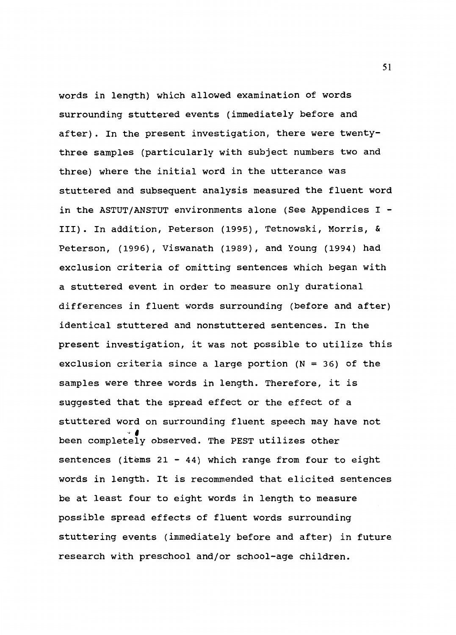words in length) which allowed examination of words surrounding stuttered events (immediately before and after). In the present investigation, there were twentythree samples (particularly with subject numbers two and three) where the initial word in the utterance was stuttered and subsequent analysis measured the fluent word in the ASTUT/ANSTUT environments alone (See Appendices I - III). In addition, Peterson (1995), Tetnowski, Morris, & Peterson, (1996), Viswanath (1989), and Young (1994) had exclusion criteria of omitting sentences which began with a stuttered event in order to measure only durational differences in fluent words surrounding (before and after) identical stuttered and nonstuttered sentences. In the present investigation, it was not possible to utilize this exclusion criteria since a large portion (N = 36) of the samples were three words in length. Therefore, it is suggested that the spread effect or the effect of a stuttered word on surrounding fluent speech may have not <sup>~</sup>. been completely observed. The PEST utilizes other sentences (items 21 - 44) which range from four to eight words in length. It is recommended that elicited sentences be at least four to eight words in length to measure possible spread effects of fluent words surrounding stuttering events (immediately before and after) in future research with preschool and/or school-age children.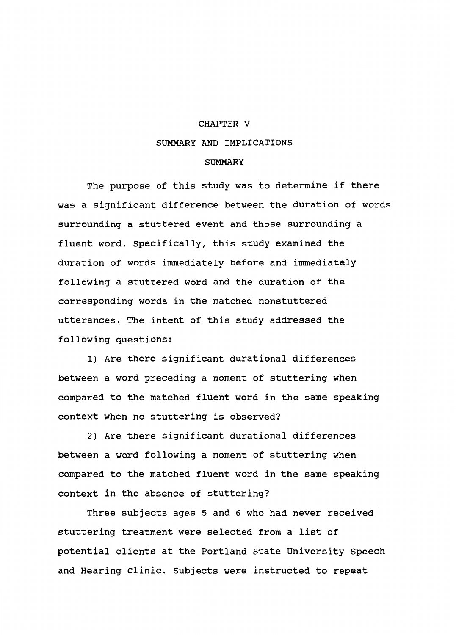#### CHAPTER V

# SUMMARY AND IMPLICATIONS

#### SUMMARY

The purpose of this study was to determine if there was a significant difference between the duration of words surrounding a stuttered event and those surrounding a fluent word. Specifically, this study examined the duration of words immediately before and immediately following a stuttered word and the duration of the corresponding words in the matched nonstuttered utterances. The intent of this study addressed the following questions:

1) Are there significant durational differences between a word preceding a moment of stuttering when compared to the matched fluent word in the same speaking context when no stuttering is observed?

2) Are there significant durational differences between a word following a moment of stuttering when compared to the matched fluent word in the same speaking context in the absence of stuttering?

Three subjects ages 5 and 6 who had never received stuttering treatment were selected from a list of potential clients at the Portland State University Speech and Hearing Clinic. Subjects were instructed to repeat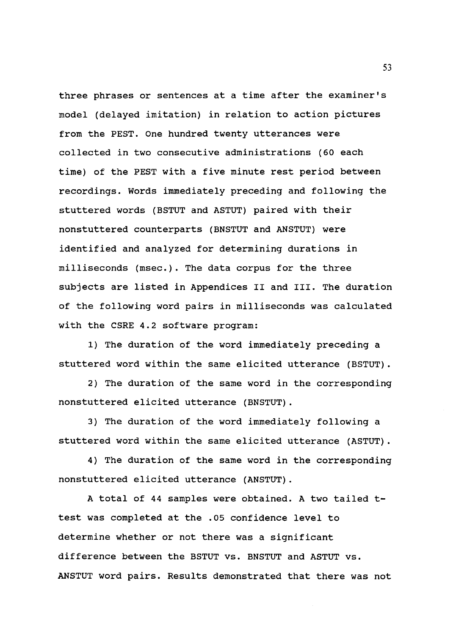three phrases or sentences at a time after the examiner's model (delayed imitation) in relation to action pictures from the PEST. One hundred twenty utterances were collected in two consecutive administrations (60 each time) of the PEST with a five minute rest period between recordings. Words immediately preceding and following the stuttered words (BSTUT and ASTUT) paired with their nonstuttered counterparts (BNSTUT and ANSTUT) were identified and analyzed for determining durations in milliseconds (msec.). The data corpus for the three subjects are listed in Appendices II and III. The duration of the following word pairs in milliseconds was calculated with the CSRE 4.2 software program:

1) The duration of the word immediately preceding a stuttered word within the same elicited utterance (BSTUT).

2) The duration of the same word in the corresponding nonstuttered elicited utterance (BNSTUT).

3) The duration of the word immediately following a stuttered word within the same elicited utterance (ASTUT) .

4) The duration of the same word in the corresponding nonstuttered elicited utterance (ANSTUT).

A total of 44 samples were obtained. A two tailed ttest was completed at the .05 confidence level to determine whether or not there was a significant difference between the BSTUT vs. BNSTUT and ASTUT vs. ANSTUT word pairs. Results demonstrated that there was not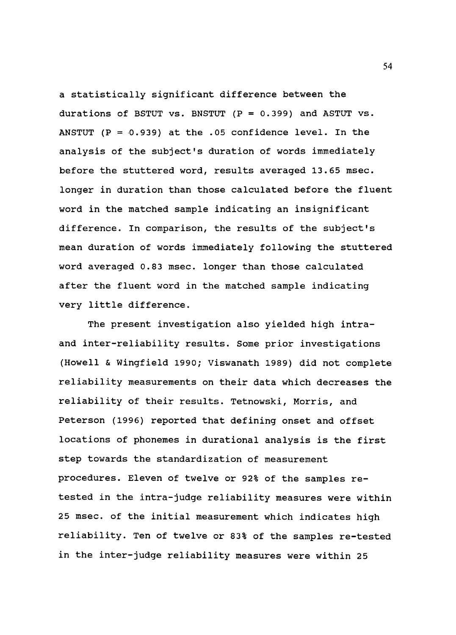a statistically significant difference between the durations of BSTUT vs. BNSTUT  $(P = 0.399)$  and ASTUT vs. ANSTUT (P =  $0.939$ ) at the .05 confidence level. In the analysis of the subject's duration of words immediately before the stuttered word, results averaged 13.65 msec. longer in duration than those calculated before the fluent word in the matched sample indicating an insignificant difference. In comparison, the results of the subject's mean duration of words immediately following the stuttered word averaged 0.83 msec. longer than those calculated after the fluent word in the matched sample indicating very little difference.

The present investigation also yielded high intraand inter-reliability results. Some prior investigations (Howell & Wingfield 1990; Viswanath 1989) did not complete reliability measurements on their data which decreases the reliability of their results. Tetnowski, Morris, and Peterson (1996} reported that defining onset and offset locations of phonemes in durational analysis is the first step towards the standardization of measurement procedures. Eleven of twelve or 92% of the samples retested in the intra-judge reliability measures were within 25 msec. of the initial measurement which indicates high reliability. Ten of twelve or 83% of the samples re-tested in the inter-judge reliability measures were within 25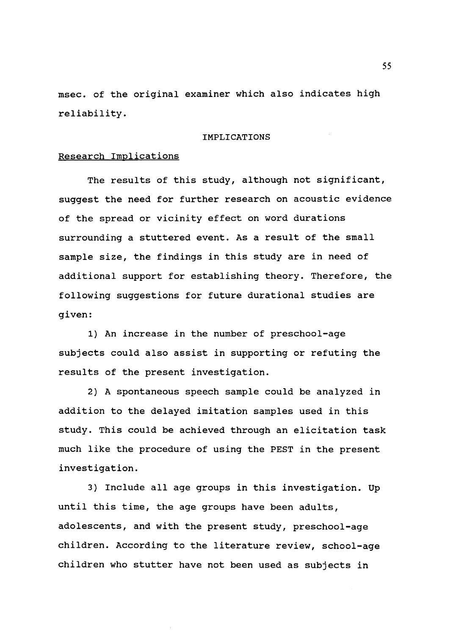msec. of the original examiner which also indicates high reliability.

#### IMPLICATIONS

#### Research Implications

The results of this study, although not significant, suggest the need for further research on acoustic evidence of the spread or vicinity effect on word durations surrounding a stuttered event. As a result of the small sample size, the findings in this study are in need of additional support for establishing theory. Therefore, the following suggestions for future durational studies are given:

1) An increase in the number of preschool-age subjects could also assist in supporting or refuting the results of the present investigation.

2) A spontaneous speech sample could be analyzed in addition to the delayed imitation samples used in this study. This could be achieved through an elicitation task much like the procedure of using the PEST in the present investigation.

3) Include all age groups in this investigation. Up until this time, the age groups have been adults, adolescents, and with the present study, preschool-age children. According to the literature review, school-age children who stutter have not been used as subjects in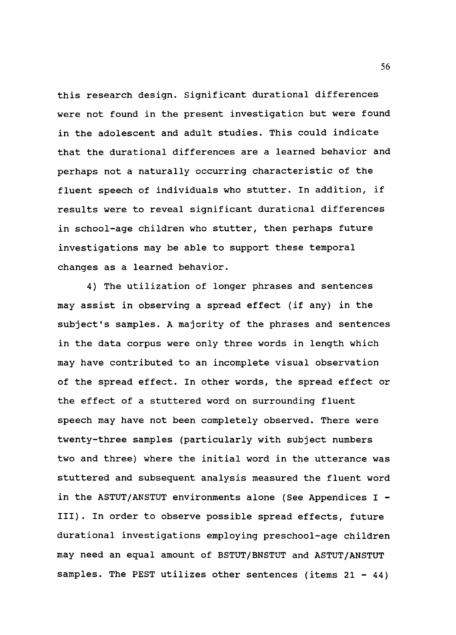this research design. Significant durational differences were not found in the present investigation but were found in the adolescent and adult studies. This could indicate that the durational differences are a learned behavior and perhaps not a naturally occurring characteristic of the fluent speech of individuals who stutter. In addition, if results were to reveal significant durational differences in school-age children who stutter, then perhaps future investigations may be able to support these temporal changes as a learned behavior.

4) The utilization of longer phrases and sentences may assist in observing a spread effect (if any) in the subject's samples. A majority of the phrases and sentences in the data corpus were only three words in length which may have contributed to an incomplete visual observation of the spread effect. In other words, the spread effect or the effect of a stuttered word on surrounding fluent speech may have not been completely observed. There were twenty-three samples (particularly with subject numbers two and three) where the initial word in the utterance was stuttered and subsequent analysis measured the fluent word in the ASTUT/ANSTUT environments alone (See Appendices  $I -$ III). In order to observe possible spread effects, future durational investigations employing preschool-age children may need an equal amount of BSTUT/BNSTUT and ASTUT/ANSTUT samples. The PEST utilizes other sentences (items 21 - 44)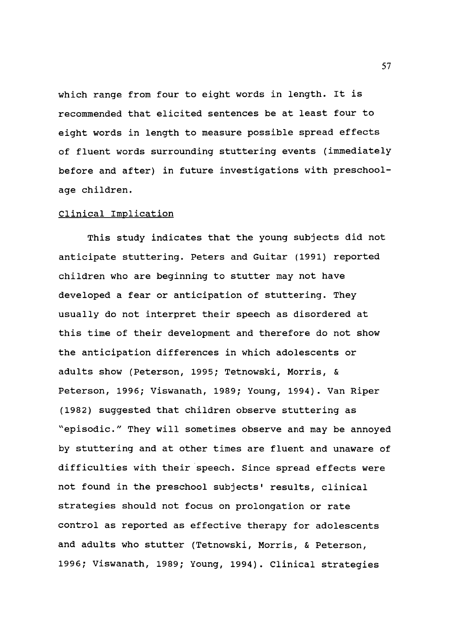which range from four to eight words in length. It is recommended that elicited sentences be at least four to eight words in length to measure possible spread effects of fluent words surrounding stuttering events (immediately before and after) in future investigations with preschoolage children.

## Clinical Implication

This study indicates that the young subjects did not anticipate stuttering. Peters and Guitar (1991) reported children who are beginning to stutter may not have developed a fear or anticipation of stuttering. They usually do not interpret their speech as disordered at this time of their development and therefore do not show the anticipation differences in which adolescents or adults show (Peterson, 1995; Tetnowski, Morris, & Peterson, 1996; Viswanath, 1989; Young, 1994). Van Riper (1982) suggested that children observe stuttering as "episodic." They will sometimes observe and may be annoyed by stuttering and at other times are fluent and unaware of difficulties with their speech. Since spread effects were not found in the preschool subjects' results, clinical strategies should not focus on prolongation or rate control as reported as effective therapy for adolescents and adults who stutter (Tetnowski, Morris, & Peterson, 1996; Viswanath, 1989; Young, 1994). Clinical strategies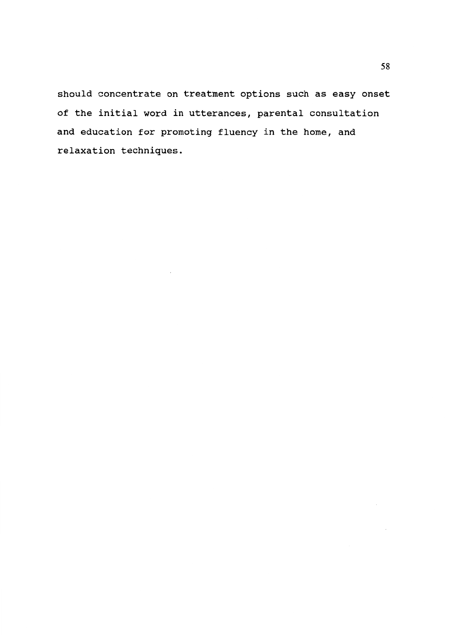should concentrate on treatment options such as easy onset of the initial word in utterances, parental consultation and education for promoting fluency in the home, and relaxation techniques.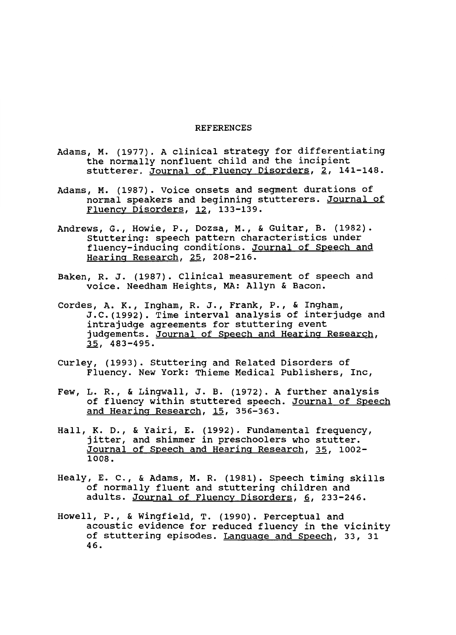#### REFERENCES

- Adams, M. (1977). A clinical strategy for differentiating the normally nonfluent child and the incipient stutterer. Journal of Fluency Disorders, 2, 141-148.
- Adams, M. (1987). Voice onsets and segment durations of normal speakers and beginning stutterers. Journal of Fluency Disorders, 12, 133-139.
- Andrews, G., Howie, P., Dozsa, M., & Guitar, B. (1982). Stuttering: speech pattern characteristics under fluency-inducing conditions. Journal of Speech and Hearing Research, 25, 208-216.
- Baken, R. J. (1987). Clinical measurement of speech and voice. Needham Heights, MA: Allyn & Bacon.
- Cordes, A. K., Ingham, R. J., Frank, P., & Ingham, J.C. (1992). Time interval analysis of interjudge and intrajudge agreements for stuttering event judgements. Journal of Speech and Hearing Research, 35, 483-495.
- Curley, (1993). Stuttering and Related Disorders of Fluency. New York: Thieme Medical Publishers, Inc,
- Few, L. R., & Lingwall, J.B. (1972). A further analysis of fluency within stuttered speech. Journal of Speech and Hearing Research, 15, 356-363.
- Hall, K. D., & Yairi, E. (1992). Fundamental frequency, jitter, and shimmer in preschoolers who stutter. Journal of Speech and Hearing Research, 35, 1002- 1008.
- Healy, E. C., & Adams, M. R. (1981). Speech timing skills of normally fluent and stuttering children and adults. Journal of Fluency Disorders, 6, 233-246.
- Howell, P., & Wingfield, T. (1990). Perceptual and acoustic evidence for reduced fluency in the vicinity of stuttering episodes. Language and Speech, 33, 31 46.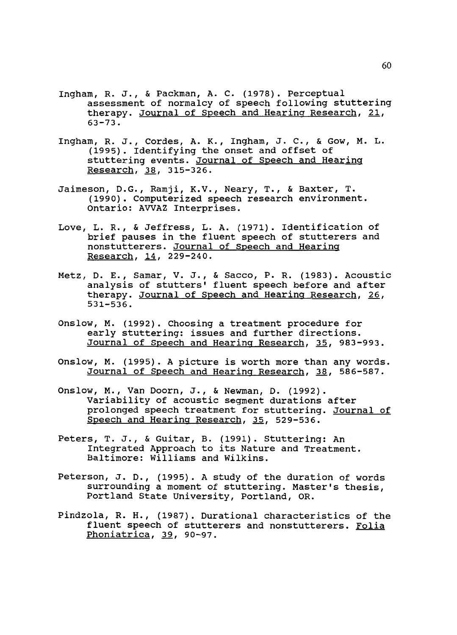- Ingham, R. J., & Packman, A. c. (1978). Perceptual assessment of normalcy of speech following stuttering therapy. Journal of Speech and Hearing Research, 21, 63-73.
- Ingham, R. J., Cordes, A. K., Ingham, J. C., & Gow, M. L. (1995). Identifying the onset and offset of stuttering events. Journal of Speech and Hearing Research, 38, 315-326.
- Jaimeson, D.G., Ramji, K.V., Neary, T., & Baxter, T. (1990). Computerized speech research environment. Ontario: AVVAZ Interprises.
- Love, L. R., & Jeffress, L.A. (1971). Identification of brief pauses in the fluent speech of stutterers and nonstutterers. Journal of Speech and Hearing Research, 14, 229-240.
- Metz, D. E., Samar, V. J., & Sacco, P.R. (1983). Acoustic analysis of stutters' fluent speech before and after therapy. Journal of Speech and Hearing Research, 26, 531-536.
- Onslow, M. (1992). Choosing a treatment procedure for early stuttering: issues and further directions. Journal of Speech and Hearing Research, 35, 983-993.
- Onslow, M. (1995). A picture is worth more than any words. Journal of Speech and Hearing Research, 38, 586-587.
- Onslow, M., Van Doorn, J., & Newman, D. (1992). Variability of acoustic segment durations after prolonged speech treatment for stuttering. <u>Journal of</u> Speech and Hearing Research, 35, 529-536.
- Peters, T. J., & Guitar, B. (1991). stuttering: An Integrated Approach to its Nature and Treatment. Baltimore: Williams and Wilkins.
- Peterson, J. D., (1995). A study of the duration of words surrounding a moment of stuttering. Master's thesis, Portland State University, Portland, OR.
- Pindzola, R.H., (1987). Durational characteristics of the fluent speech of stutterers and nonstutterers. Folia <u>Phoniatrica</u>, <u>39</u>, 90-97.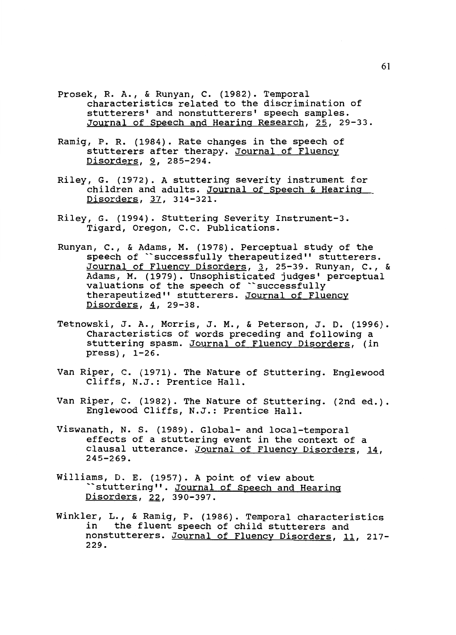- Prosek, R. A., & Runyan, c. (1982). Temporal characteristics related to the discrimination of stutterers' and nonstutterers' speech samples. Journal of Speech and Hearing Research, 25, 29-33.
- Ramig, P.R. (1984). Rate changes in the speech of stutterers after therapy. Journal of Fluency Disorders, 9, 285-294.
- Riley, G. (1972). A stuttering severity instrument for children and adults. Journal of Speech & Hearing Disorders, 37, 314-321.
- Riley, G. (1994). stuttering Severity Instrument-3. Tigard, Oregon, c.c. Publications.
- Runyan, c., & Adams, M. (1978). Perceptual study of the speech of ''successfully therapeutized" stutterers. Journal of Fluency Disorders, 3, 25-39. Runyan, C., & Adams, M. (1979). Unsophisticated judges' perceptual valuations of the speech of ''successfully therapeutized" stutterers. Journal of Fluency Disorders,  $4, 29-38.$
- Tetnowski, J. A., Morris, J.M., & Peterson, J. D. (1996). Characteristics of words preceding and following a stuttering spasm. Journal of Fluency Disorders, (in press), 1-26.
- Van Riper, c. (1971). The Nature of Stuttering. Englewood Cliffs, N.J.: Prentice Hall.
- Van Riper, c. (1982). The Nature of Stuttering. (2nd ed.). Englewood Cliffs, N.J.: Prentice Hall.
- Viswanath, N. s. (1989). Global- and local-temporal effects of a stuttering event in the context of a clausal utterance. Journal of Fluency Disorders, 14, 245-269.
- Williams, D. E. (1957). A point of view about ''stuttering". Journal of Speech and Hearing Disorders, *2l\_,* 390-397.
- Winkler, L., & Ramig, P. (1986). Temporal characteristics in the fluent speech of child stutterers and nonstutterers. Journal of Fluency Disorders, 11, 217- 229.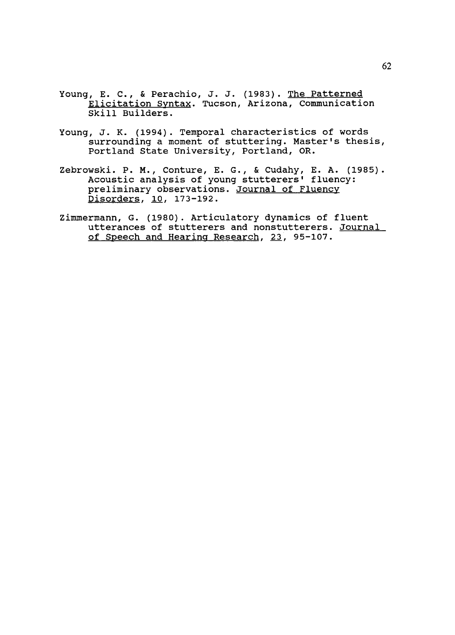- Young, E. c., & Perachio, J. J. (1983). The Patterned Elicitation Syntax. Tucson, Arizona, Communication Skill Builders.
- Young, J. K. (1994). Temporal characteristics of words surrounding a moment of stuttering. Master's thesis, Portland State University, Portland, OR.
- Zebrowski. P. M., Conture, E.G., & Cudahy, E. A. (1985). Acoustic analysis of young stutterers' fluency: preliminary observations. Journal of Fluency Disorders, 10, 173-192.
- Zimmermann, G. (1980). Articulatory dynamics of fluent utterances of stutterers and nonstutterers. Journal of Speech and Hearing Research, 23, 95-107.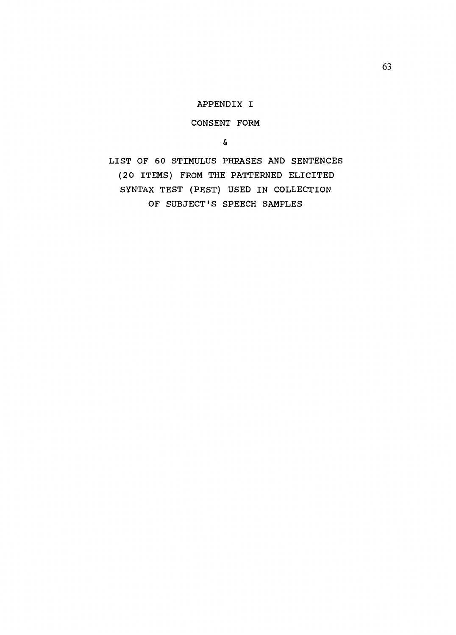APPENDIX I

# CONSENT FORM

&

LIST OF 60 STIMULUS PHRASES AND SENTENCES (20 ITEMS) FROM THE PATTERNED ELICITED SYNTAX TEST (PEST) USED IN COLLECTION OF SUBJECT'S SPEECH SAMPLES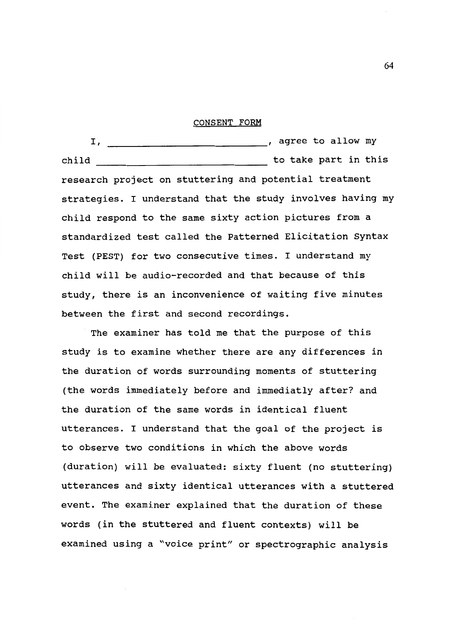### CONSENT FORM

I, \_\_\_\_\_\_\_\_\_\_\_\_\_\_\_\_\_\_\_\_\_\_\_\_\_\_\_\_\_\_, agree to allow my child ~~~~~~~~~~~~~~ to take part in this research project on stuttering and potential treatment strategies. I understand that the study involves having my child respond to the same sixty action pictures from a standardized test called the Patterned Elicitation Syntax Test (PEST) for two consecutive times. I understand my child will be audio-recorded and that because of this study, there is an inconvenience of waiting five minutes between the first and second recordings.

The examiner has told me that the purpose of this study is to examine whether there are any differences in the duration of words surrounding moments of stuttering (the words immediately before and immediatly after? and the duration of the same words in identical fluent utterances. I understand that the goal of the project is to observe two conditions in which the above words (duration) will be evaluated: sixty fluent (no stuttering) utterances and sixty identical utterances with a stuttered event. The examiner explained that the duration of these words (in the stuttered and fluent contexts) will be examined using a "voice print" or spectrographic analysis

64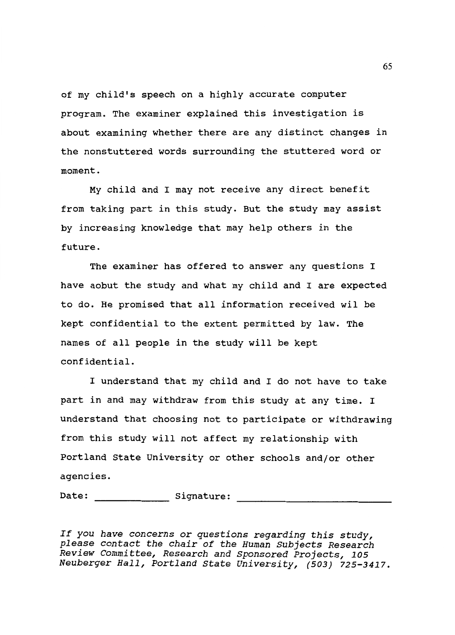of my child's speech on a highly accurate computer program. The examiner explained this investigation is about examining whether there are any distinct changes in the nonstuttered words surrounding the stuttered word or moment.

My child and I may not receive any direct benefit from taking part in this study. But the study may assist by increasing knowledge that may help others in the future.

The examiner has offered to answer any questions I have aobut the study and what my child and I are expected to do. He promised that all information received wil be kept confidential to the extent permitted by law. The names of all people in the study will be kept confidential.

I understand that my child and I do not have to take part in and may withdraw from this study at any time. I understand that choosing not to participate or withdrawing from this study will not affect my relationship with Portland State University or other schools and/or other agencies.

Date: Signature:

*If you have concerns* or *questions regarding this study, please contact the chair of the Human Subjects Research Review Committee, Research and Sponsored Projects, 105 Neuberger Hall, Portland State University, (503) 725-3417.*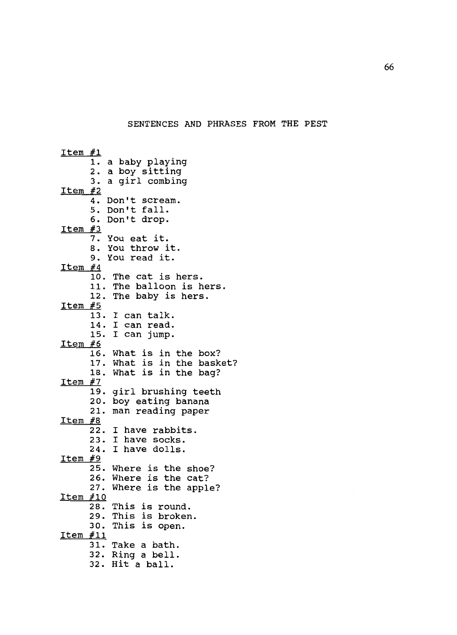### SENTENCES AND PHRASES FROM THE PEST

Item #1 1. a baby playing 2. a boy sitting 3. a girl combing Item #2 4. Don't scream. 5. Don't fall. 6. Don't drop. Item #3 7. You eat it. 8. You throw it. 9. You read it.  $I$ tem  $\#4$ 10. The cat is hers. 11. The balloon is hers. 12. The baby is hers. Item #5 13. I can talk. 14. I can read. 15. I can jump. Item #6 16. What is in the box? 17. What is in the basket? 18. What is in the bag? Item #7 19. girl brushing teeth 20. boy eating banana 21. man reading paper Item #8 22. I have rabbits. 23. I have socks. 24. I have dolls. Item #9 25. Where is the shoe? 26. Where is the cat? 27. Where is the apple? Item #10 28. This is round. 29. This is broken. 30. This is open. Item #11 31. Take a bath. 32. Ring a bell. 32. Hit a ball.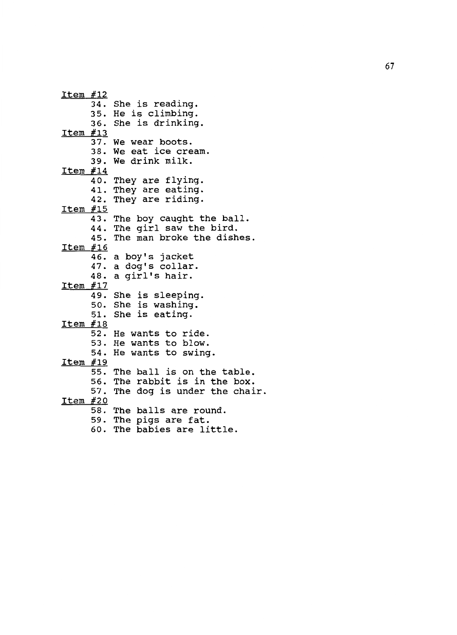Item *.l12*  34. She is reading. 35. He is climbing. 36. She is drinking. <u>Item #13</u> 37. We wear boots. 38. We eat ice cream. 39. We drink milk. Item #14 40. They are flying. 41. They are eating. 42. They are riding. <u>Item #15</u> 43. The boy caught the ball. 44. The girl saw the bird. 45. The man broke the dishes. <u>Item #16</u> 46. a boy's jacket 47. a dog's collar. 48. a girl's hair. <u>Item #17</u> 49. She is sleeping. 50. She is washing. 51. She is eating. <u>Item #18</u> 52. He wants to ride. 53. He wants to blow. 54. He wants to swing. Item *l.12*  55. The ball is on the table. 56. The rabbit is in the box. 57. The dog is under the chair. <u>Item #20</u> 58. The balls are round. 59. The pigs are fat. 60. The babies are little.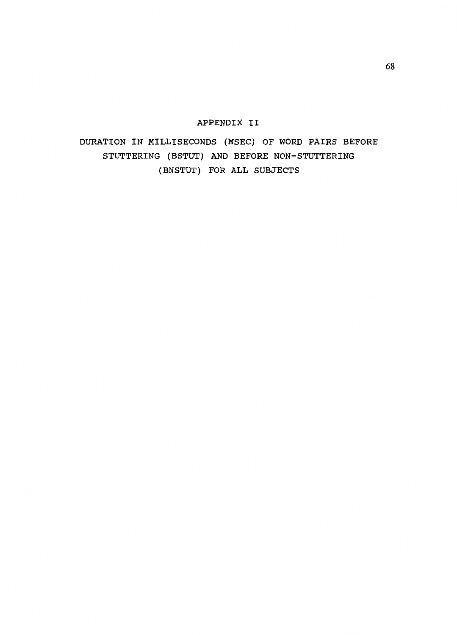## APPENDIX II

DURATION IN MILLISECONDS (MSEC) OF WORD PAIRS BEFORE STUTTERING (BSTUT) AND BEFORE NON-STUTTERING (BNSTUT) FOR ALL SUBJECTS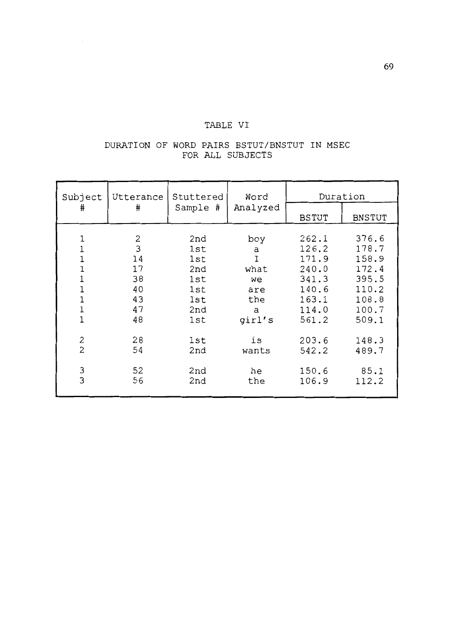### TABLE VI

# DURATION OF WORD PAIRS BSTUT/BNSTUT IN MSEC FOR ALL SUBJECTS

| Subject<br>#                                                  | Utterance<br>#                                          | Stuttered<br>Sample #                                       | Word<br>Analyzed                                                     | Duration                                                                      |                                                                               |
|---------------------------------------------------------------|---------------------------------------------------------|-------------------------------------------------------------|----------------------------------------------------------------------|-------------------------------------------------------------------------------|-------------------------------------------------------------------------------|
|                                                               |                                                         |                                                             |                                                                      | <b>BSTUT</b>                                                                  | <b>BNSTUT</b>                                                                 |
| 1<br>1<br>$\overline{1}$<br>1<br>$\mathbf{1}$<br>$\mathbf{1}$ | $\frac{2}{3}$<br>14<br>17<br>38<br>40<br>43<br>47<br>48 | 2nd<br>1st<br>1st<br>2nd<br>1st<br>1st<br>1st<br>2nd<br>1st | boy<br>a<br>$\mathbbm{I}$<br>what<br>we<br>are<br>the<br>a<br>girl's | 262.1<br>126.2<br>171.9<br>240.0<br>341.3<br>140.6<br>163.1<br>114.0<br>561.2 | 376.6<br>178.7<br>158.9<br>172.4<br>395.5<br>110.2<br>108.8<br>100.7<br>509.1 |
| $\overline{\mathbf{c}}$<br>$\overline{c}$<br>3<br>3           | 28<br>54<br>52<br>56                                    | 1st<br>2nd<br>2nd<br>2nd                                    | is<br>wants<br>he<br>the                                             | 203.6<br>542.2<br>150.6<br>106.9                                              | 148.3<br>489.7<br>85.1<br>112.2                                               |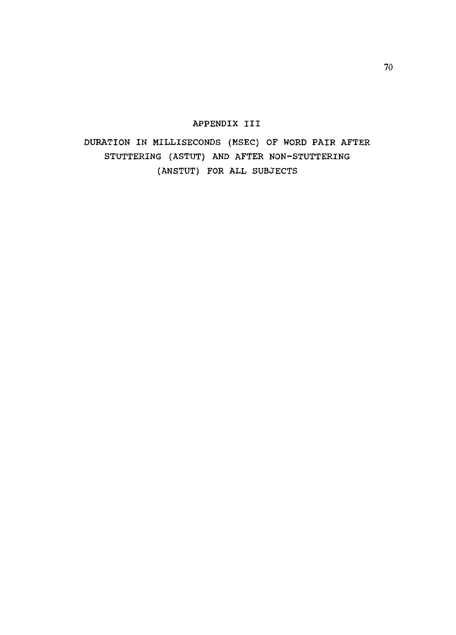# APPENDIX III

DURATION IN MILLISECONDS (MSEC) OF WORD PAIR AFTER STUTTERING (ASTUT) AND AFTER NON-STUTTERING (ANSTUT) FOR ALL SUBJECTS